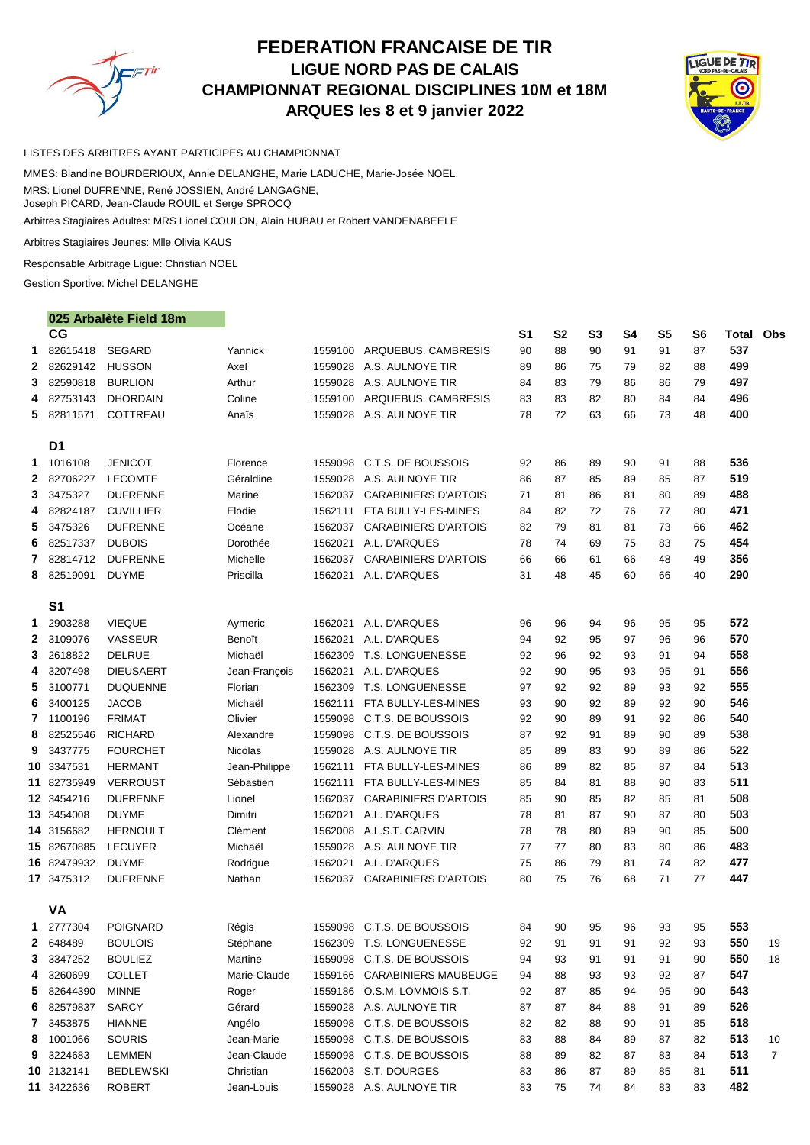

# **FEDERATION FRANCAISE DE TIR LIGUE NORD PAS DE CALAIS CHAMPIONNAT REGIONAL DISCIPLINES 10M et 18M ARQUES les 8 et 9 janvier 2022**



#### LISTES DES ARBITRES AYANT PARTICIPES AU CHAMPIONNAT

MMES: Blandine BOURDERIOUX, Annie DELANGHE, Marie LADUCHE, Marie-Josée NOEL. MRS: Lionel DUFRENNE, René JOSSIEN, André LANGAGNE, Joseph PICARD, Jean-Claude ROUIL et Serge SPROCQ

Arbitres Stagiaires Adultes: MRS Lionel COULON, Alain HUBAU et Robert VANDENABEELE

Arbitres Stagiaires Jeunes: Mlle Olivia KAUS

Responsable Arbitrage Ligue: Christian NOEL

Gestion Sportive: Michel DELANGHE

### 025 Arbalète Field 18m

|              | CG                  |                  |               |            |                                          | S <sub>1</sub> | <b>S2</b> | S <sub>3</sub> | <b>S4</b> | <b>S5</b> | S <sub>6</sub> | Total | Obs            |
|--------------|---------------------|------------------|---------------|------------|------------------------------------------|----------------|-----------|----------------|-----------|-----------|----------------|-------|----------------|
| 1            | 82615418            | <b>SEGARD</b>    | Yannick       |            | □ 1559100 ARQUEBUS. CAMBRESIS            | 90             | 88        | 90             | 91        | 91        | 87             | 537   |                |
| 2            | 82629142            | <b>HUSSON</b>    | Axel          |            | □ 1559028 A.S. AULNOYE TIR               | 89             | 86        | 75             | 79        | 82        | 88             | 499   |                |
| 3            | 82590818            | <b>BURLION</b>   | Arthur        |            | □ 1559028 A.S. AULNOYE TIR               | 84             | 83        | 79             | 86        | 86        | 79             | 497   |                |
| 4            | 82753143            | <b>DHORDAIN</b>  | Coline        |            | □ 1559100 ARQUEBUS. CAMBRESIS            | 83             | 83        | 82             | 80        | 84        | 84             | 496   |                |
| 5.           | 82811571            | COTTREAU         | Anaïs         |            | □ 1559028 A.S. AULNOYE TIR               | 78             | 72        | 63             | 66        | 73        | 48             | 400   |                |
|              | D <sub>1</sub>      |                  |               |            |                                          |                |           |                |           |           |                |       |                |
| 1            | 1016108             | <b>JENICOT</b>   | Florence      |            | $+1559098$ C.T.S. DE BOUSSOIS            | 92             | 86        | 89             | 90        | 91        | 88             | 536   |                |
| 2            | 82706227            | <b>LECOMTE</b>   | Géraldine     |            | 1559028 A.S. AULNOYE TIR                 | 86             | 87        | 85             | 89        | 85        | 87             | 519   |                |
| 3            | 3475327             | <b>DUFRENNE</b>  | Marine        |            | +1562037 CARABINIERS D'ARTOIS            | 71             | 81        | 86             | 81        | 80        | 89             | 488   |                |
| 4            | 82824187            | <b>CUVILLIER</b> | Elodie        |            | 1562111 FTA BULLY-LES-MINES              | 84             | 82        | 72             | 76        | 77        | 80             | 471   |                |
| 5            | 3475326             | <b>DUFRENNE</b>  | Océane        |            | +1562037 CARABINIERS D'ARTOIS            | 82             | 79        | 81             | 81        | 73        | 66             | 462   |                |
| 6            | 82517337            | <b>DUBOIS</b>    | Dorothée      |            | 1562021 A.L. D'ARQUES                    | 78             | 74        | 69             | 75        | 83        | 75             | 454   |                |
| 7            | 82814712            | <b>DUFRENNE</b>  | Michelle      |            | 1562037 CARABINIERS D'ARTOIS             | 66             | 66        | 61             | 66        | 48        | 49             | 356   |                |
| 8            | 82519091            | <b>DUYME</b>     | Priscilla     |            | 1562021 A.L. D'ARQUES                    | 31             | 48        | 45             | 60        | 66        | 40             | 290   |                |
|              | S <sub>1</sub>      |                  |               |            |                                          |                |           |                |           |           |                |       |                |
| 1            | 2903288             | <b>VIEQUE</b>    | Aymeric       | ⊟ 1562021  | A.L. D'ARQUES                            | 96             | 96        | 94             | 96        | 95        | 95             | 572   |                |
| $\mathbf{2}$ | 3109076             | <b>VASSEUR</b>   | Benoït        | $+1562021$ | A.L. D'ARQUES                            | 94             | 92        | 95             | 97        | 96        | 96             | 570   |                |
| 3            | 2618822             | <b>DELRUE</b>    | Michaël       | $+1562309$ | T.S. LONGUENESSE                         | 92             | 96        | 92             | 93        | 91        | 94             | 558   |                |
| 4            | 3207498             | <b>DIEUSAERT</b> | Jean-François |            | 1562021 A.L. D'ARQUES                    | 92             | 90        | 95             | 93        | 95        | 91             | 556   |                |
| 5            | 3100771             | <b>DUQUENNE</b>  | Florian       | $+1562309$ | T.S. LONGUENESSE                         | 97             | 92        | 92             | 89        | 93        | 92             | 555   |                |
| 6            | 3400125             | <b>JACOB</b>     | Michaël       | $+1562111$ | FTA BULLY-LES-MINES                      | 93             | 90        | 92             | 89        | 92        | 90             | 546   |                |
| 7            | 1100196             | <b>FRIMAT</b>    | Olivier       |            | 1559098 C.T.S. DE BOUSSOIS               | 92             | 90        | 89             | 91        | 92        | 86             | 540   |                |
| 8            | 82525546            | <b>RICHARD</b>   | Alexandre     | $+1559098$ | C.T.S. DE BOUSSOIS                       | 87             | 92        | 91             | 89        | 90        | 89             | 538   |                |
| 9            | 3437775             | <b>FOURCHET</b>  | Nicolas       |            | +1559028 A.S. AULNOYE TIR                | 85             | 89        | 83             | 90        | 89        | 86             | 522   |                |
|              | 10 3347531          | <b>HERMANT</b>   | Jean-Philippe | $+1562111$ | FTA BULLY-LES-MINES                      | 86             | 89        | 82             | 85        | 87        | 84             | 513   |                |
|              | 11 82735949         | <b>VERROUST</b>  | Sébastien     | $+1562111$ | FTA BULLY-LES-MINES                      | 85             | 84        | 81             | 88        | 90        | 83             | 511   |                |
|              | 12 3454216          | <b>DUFRENNE</b>  | Lionel        |            | +1562037 CARABINIERS D'ARTOIS            | 85             | 90        | 85             | 82        | 85        | 81             | 508   |                |
|              | 13 3454008          | <b>DUYME</b>     | Dimitri       |            | +1562021 A.L. D'ARQUES                   | 78             | 81        | 87             | 90        | 87        | 80             | 503   |                |
|              | 14 3156682          | <b>HERNOULT</b>  | Clément       |            | +1562008 A.L.S.T. CARVIN                 | 78             | 78        | 80             | 89        | 90        | 85             | 500   |                |
|              | 15 82670885 LECUYER |                  | Michaël       |            | 1559028 A.S. AULNOYE TIR                 | 77             | 77        | 80             | 83        | 80        | 86             | 483   |                |
|              | 16 82479932         | <b>DUYME</b>     | Rodrigue      | ⊟1562021   | A.L. D'ARQUES                            | 75             | 86        | 79             | 81        | 74        | 82             | 477   |                |
|              | 17 3475312          | <b>DUFRENNE</b>  | Nathan        |            | 1562037 CARABINIERS D'ARTOIS             | 80             | 75        | 76             | 68        | 71        | 77             | 447   |                |
|              | <b>VA</b>           |                  |               |            |                                          |                |           |                |           |           |                |       |                |
| 1            | 2777304             | <b>POIGNARD</b>  | Régis         |            | <sup>1</sup> 1559098 C.T.S. DE BOUSSOIS  | 84             | 90        | 95             | 96        | 93        | 95             | 553   |                |
| 2            | 648489              | <b>BOULOIS</b>   | Stéphane      |            | <sup>1</sup> 1562309 T.S. LONGUENESSE    | 92             | 91        | 91             | 91        | 92        | 93             | 550   | 19             |
| 3            | 3347252             | <b>BOULIEZ</b>   | Martine       |            | <sup>1</sup> 1559098 C.T.S. DE BOUSSOIS  | 94             | 93        | 91             | 91        | 91        | 90             | 550   | 18             |
| 4            | 3260699             | <b>COLLET</b>    | Marie-Claude  |            | <b>1559166 CARABINIERS MAUBEUGE</b>      | 94             | 88        | 93             | 93        | 92        | 87             | 547   |                |
| 5            | 82644390            | <b>MINNE</b>     | Roger         |            | <sup>1</sup> 1559186 O.S.M. LOMMOIS S.T. | 92             | 87        | 85             | 94        | 95        | 90             | 543   |                |
| 6            | 82579837            | <b>SARCY</b>     | Gérard        |            | 1559028 A.S. AULNOYE TIR                 | 87             | 87        | 84             | 88        | 91        | 89             | 526   |                |
| 7            | 3453875             | <b>HIANNE</b>    | Angélo        |            | <sup>1</sup> 1559098 C.T.S. DE BOUSSOIS  | 82             | 82        | 88             | 90        | 91        | 85             | 518   |                |
| 8            | 1001066             | <b>SOURIS</b>    | Jean-Marie    |            | <sup>1</sup> 1559098 C.T.S. DE BOUSSOIS  | 83             | 88        | 84             | 89        | 87        | 82             | 513   | 10             |
| 9            | 3224683             | <b>LEMMEN</b>    | Jean-Claude   |            | <sup>1</sup> 1559098 C.T.S. DE BOUSSOIS  | 88             | 89        | 82             | 87        | 83        | 84             | 513   | $\overline{7}$ |
|              | 10 2132141          | <b>BEDLEWSKI</b> | Christian     |            | 1562003 S.T. DOURGES                     | 83             | 86        | 87             | 89        | 85        | 81             | 511   |                |
|              | 11 3422636          | <b>ROBERT</b>    | Jean-Louis    |            | 1559028 A.S. AULNOYE TIR                 | 83             | 75        | 74             | 84        | 83        | 83             | 482   |                |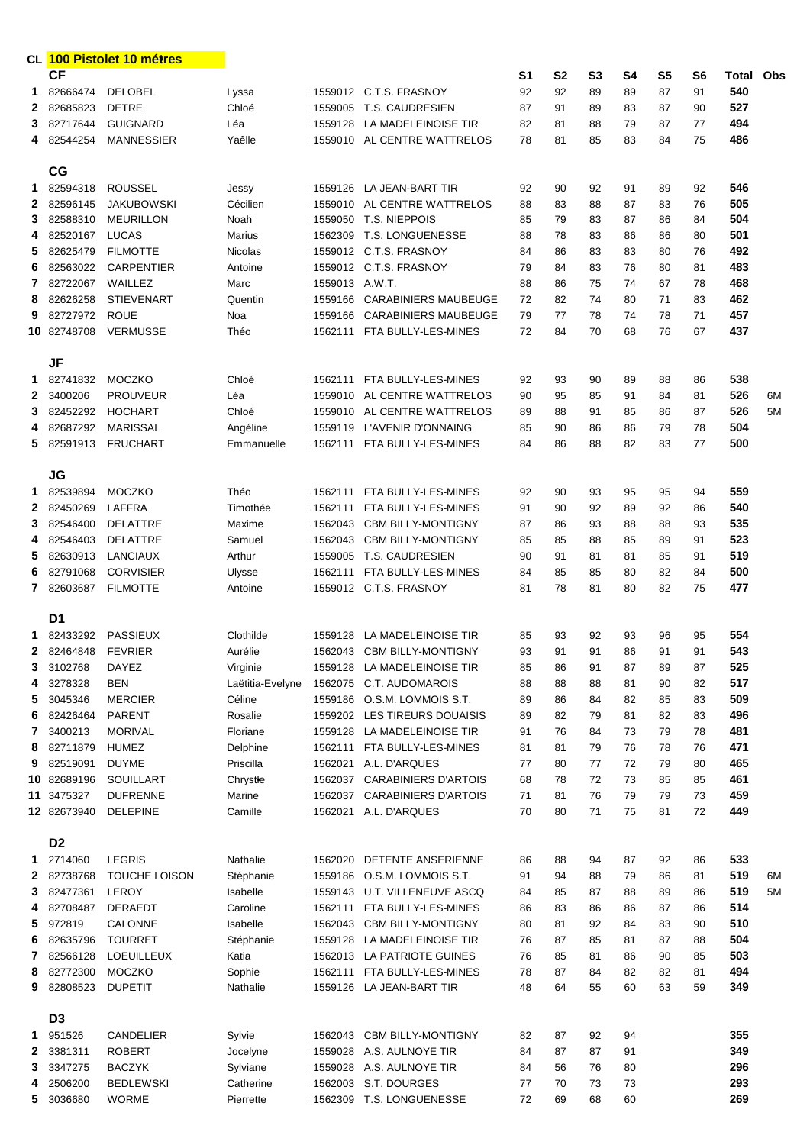|                |                | CL 100 Pistolet 10 métres |                  |                |                              |                |           |                |           |                |                |                  |    |
|----------------|----------------|---------------------------|------------------|----------------|------------------------------|----------------|-----------|----------------|-----------|----------------|----------------|------------------|----|
|                | <b>CF</b>      |                           |                  |                |                              | S <sub>1</sub> | <b>S2</b> | S <sub>3</sub> | <b>S4</b> | S <sub>5</sub> | S <sub>6</sub> | <b>Total Obs</b> |    |
| 1              | 82666474       | <b>DELOBEL</b>            | Lyssa            |                | 1559012 C.T.S. FRASNOY       | 92             | 92        | 89             | 89        | 87             | 91             | 540              |    |
| $\mathbf{2}$   | 82685823       | <b>DETRE</b>              | Chloé            |                | 1559005 T.S. CAUDRESIEN      | 87             | 91        | 89             | 83        | 87             | 90             | 527              |    |
| 3              | 82717644       | <b>GUIGNARD</b>           | Léa              |                | 1559128 LA MADELEINOISE TIR  | 82             | 81        | 88             | 79        | 87             | 77             | 494              |    |
|                | 4 82544254     | <b>MANNESSIER</b>         | Yaêlle           |                | 1559010 AL CENTRE WATTRELOS  | 78             | 81        | 85             | 83        | 84             | 75             | 486              |    |
|                |                |                           |                  |                |                              |                |           |                |           |                |                |                  |    |
|                | CG             |                           |                  |                |                              |                |           |                |           |                |                |                  |    |
| 1.             | 82594318       | <b>ROUSSEL</b>            | Jessy            |                | 1559126 LA JEAN-BART TIR     | 92             | 90        | 92             | 91        | 89             | 92             | 546              |    |
| $\mathbf{2}$   | 82596145       | <b>JAKUBOWSKI</b>         | Cécilien         |                | 1559010 AL CENTRE WATTRELOS  | 88             | 83        | 88             | 87        | 83             | 76             | 505              |    |
| 3              |                | <b>MEURILLON</b>          |                  |                | 1559050 T.S. NIEPPOIS        |                | 79        |                |           | 86             |                | 504              |    |
|                | 82588310       |                           | Noah             |                |                              | 85             |           | 83             | 87        |                | 84             |                  |    |
| 4              | 82520167       | <b>LUCAS</b>              | Marius           |                | 1562309 T.S. LONGUENESSE     | 88             | 78        | 83             | 86        | 86             | 80             | 501              |    |
| 5              | 82625479       | <b>FILMOTTE</b>           | Nicolas          |                | 1559012 C.T.S. FRASNOY       | 84             | 86        | 83             | 83        | 80             | 76             | 492              |    |
| 6              | 82563022       | <b>CARPENTIER</b>         | Antoine          |                | 1559012 C.T.S. FRASNOY       | 79             | 84        | 83             | 76        | 80             | 81             | 483              |    |
| 7              | 82722067       | WAILLEZ                   | Marc             | 1559013 A.W.T. |                              | 88             | 86        | 75             | 74        | 67             | 78             | 468              |    |
| 8              | 82626258       | <b>STIEVENART</b>         | Quentin          |                | 1559166 CARABINIERS MAUBEUGE | 72             | 82        | 74             | 80        | 71             | 83             | 462              |    |
| 9              | 82727972       | <b>ROUE</b>               | Noa              | 1559166        | <b>CARABINIERS MAUBEUGE</b>  | 79             | 77        | 78             | 74        | 78             | 71             | 457              |    |
|                | 10 82748708    | <b>VERMUSSE</b>           | Théo             |                | 1562111 FTA BULLY-LES-MINES  | 72             | 84        | 70             | 68        | 76             | 67             | 437              |    |
|                |                |                           |                  |                |                              |                |           |                |           |                |                |                  |    |
|                | <b>JF</b>      |                           |                  |                |                              |                |           |                |           |                |                |                  |    |
| 1.             | 82741832       | <b>MOCZKO</b>             | Chloé            |                | 1562111 FTA BULLY-LES-MINES  | 92             | 93        | 90             | 89        | 88             | 86             | 538              |    |
| $\mathbf{2}$   | 3400206        | <b>PROUVEUR</b>           | Léa              |                | 1559010 AL CENTRE WATTRELOS  | 90             | 95        | 85             | 91        | 84             | 81             | 526              | 6M |
| 3              | 82452292       | <b>HOCHART</b>            | Chloé            |                | 1559010 AL CENTRE WATTRELOS  | 89             | 88        | 91             | 85        | 86             | 87             | 526              | 5M |
| 4              | 82687292       | <b>MARISSAL</b>           | Angéline         |                | 1559119 L'AVENIR D'ONNAING   | 85             | 90        | 86             | 86        | 79             | 78             | 504              |    |
| 5.             | 82591913       | <b>FRUCHART</b>           | Emmanuelle       |                | 1562111 FTA BULLY-LES-MINES  | 84             | 86        | 88             | 82        | 83             | 77             | 500              |    |
|                |                |                           |                  |                |                              |                |           |                |           |                |                |                  |    |
|                | <b>JG</b>      |                           |                  |                |                              |                |           |                |           |                |                |                  |    |
| 1.             | 82539894       | <b>MOCZKO</b>             | Théo             | 1562111        | FTA BULLY-LES-MINES          | 92             | 90        | 93             | 95        | 95             | 94             | 559              |    |
| $\mathbf{2}$   | 82450269       | <b>LAFFRA</b>             | Timothée         | 1562111        | FTA BULLY-LES-MINES          | 91             | 90        | 92             | 89        | 92             | 86             | 540              |    |
| 3              | 82546400       | <b>DELATTRE</b>           | Maxime           |                | 1562043 CBM BILLY-MONTIGNY   | 87             | 86        | 93             | 88        | 88             | 93             | 535              |    |
| 4              | 82546403       | <b>DELATTRE</b>           | Samuel           |                | 1562043 CBM BILLY-MONTIGNY   | 85             | 85        | 88             | 85        | 89             | 91             | 523              |    |
| 5              | 82630913       | <b>LANCIAUX</b>           | Arthur           |                | 1559005 T.S. CAUDRESIEN      | 90             | 91        | 81             | 81        | 85             | 91             | 519              |    |
| 6              |                | 82791068 CORVISIER        | Ulysse           |                | 1562111 FTA BULLY-LES-MINES  | 84             | 85        | 85             | 80        | 82             | 84             | 500              |    |
| 7              | 82603687       | <b>FILMOTTE</b>           | Antoine          |                | 1559012 C.T.S. FRASNOY       | 81             | 78        | 81             | 80        | 82             | 75             | 477              |    |
|                |                |                           |                  |                |                              |                |           |                |           |                |                |                  |    |
|                | D <sub>1</sub> |                           |                  |                |                              |                |           |                |           |                |                |                  |    |
| 1              | 82433292       | <b>PASSIEUX</b>           | Clothilde        | 1559128        | LA MADELEINOISE TIR          | 85             | 93        | 92             | 93        | 96             | 95             | 554              |    |
| 2              | 82464848       | <b>FEVRIER</b>            | Aurélie          | 1562043        | <b>CBM BILLY-MONTIGNY</b>    | 93             | 91        | 91             | 86        | 91             | 91             | 543              |    |
| 3              | 3102768        | <b>DAYEZ</b>              | Virginie         | 1559128        | LA MADELEINOISE TIR          | 85             | 86        | 91             | 87        | 89             | 87             | 525              |    |
| 4              | 3278328        | <b>BEN</b>                | Laëtitia-Evelyne | 1562075        | <b>C.T. AUDOMAROIS</b>       | 88             | 88        | 88             | 81        | 90             | 82             | 517              |    |
| 5              | 3045346        | <b>MERCIER</b>            | Céline           | 1559186        | O.S.M. LOMMOIS S.T.          | 89             | 86        | 84             | 82        | 85             | 83             | 509              |    |
| 6              | 82426464       | <b>PARENT</b>             | Rosalie          | 1559202        | LES TIREURS DOUAISIS         | 89             | 82        | 79             | 81        | 82             | 83             | 496              |    |
| $\overline{7}$ | 3400213        | <b>MORIVAL</b>            | Floriane         | 1559128        | LA MADELEINOISE TIR          | 91             | 76        | 84             | 73        | 79             | 78             | 481              |    |
| 8              | 82711879       | <b>HUMEZ</b>              | Delphine         | 1562111        | FTA BULLY-LES-MINES          | 81             | 81        | 79             | 76        | 78             | 76             | 471              |    |
| 9              | 82519091       | <b>DUYME</b>              | Priscilla        | 1562021        | A.L. D'ARQUES                | 77             | 80        | 77             | 72        | 79             | 80             | 465              |    |
|                | 10 82689196    | <b>SOUILLART</b>          | Chrystle         | 1562037        | <b>CARABINIERS D'ARTOIS</b>  | 68             | 78        | 72             | 73        | 85             | 85             | 461              |    |
|                | 11 3475327     | <b>DUFRENNE</b>           | Marine           | 1562037        | <b>CARABINIERS D'ARTOIS</b>  | 71             | 81        | 76             | 79        | 79             | 73             | 459              |    |
|                | 12 82673940    | <b>DELEPINE</b>           | Camille          | 1562021        | A.L. D'ARQUES                | 70             | 80        | 71             | 75        | 81             | 72             | 449              |    |
|                |                |                           |                  |                |                              |                |           |                |           |                |                |                  |    |
|                | D <sub>2</sub> |                           |                  |                |                              |                |           |                |           |                |                |                  |    |
| 1.             | 2714060        | <b>LEGRIS</b>             | Nathalie         | 1562020        | DETENTE ANSERIENNE           | 86             | 88        | 94             | 87        | 92             | 86             | 533              |    |
| 2              | 82738768       | TOUCHE LOISON             | Stéphanie        | 1559186        | O.S.M. LOMMOIS S.T.          | 91             | 94        | 88             | 79        | 86             | 81             | 519              | 6M |
| 3              | 82477361       | <b>LEROY</b>              | Isabelle         | 1559143        | <b>U.T. VILLENEUVE ASCQ</b>  | 84             | 85        | 87             | 88        | 89             | 86             | 519              | 5M |
| 4              | 82708487       | <b>DERAEDT</b>            | Caroline         | 1562111        | FTA BULLY-LES-MINES          | 86             | 83        | 86             | 86        | 87             | 86             | 514              |    |
| 5              | 972819         | CALONNE                   | Isabelle         | 1562043        | <b>CBM BILLY-MONTIGNY</b>    | 80             | 81        | 92             | 84        | 83             | 90             | 510              |    |
| 6              | 82635796       | <b>TOURRET</b>            | Stéphanie        | 1559128        | LA MADELEINOISE TIR          | 76             | 87        | 85             | 81        | 87             | 88             | 504              |    |
| 7              | 82566128       | <b>LOEUILLEUX</b>         | Katia            | 1562013        | LA PATRIOTE GUINES           | 76             | 85        | 81             | 86        | 90             | 85             | 503              |    |
| 8              | 82772300       | <b>MOCZKO</b>             | Sophie           | 1562111        | FTA BULLY-LES-MINES          | 78             | 87        | 84             | 82        | 82             | 81             | 494              |    |
| 9              | 82808523       | <b>DUPETIT</b>            | Nathalie         | 1559126        | LA JEAN-BART TIR             | 48             | 64        | 55             | 60        | 63             | 59             | 349              |    |
|                |                |                           |                  |                |                              |                |           |                |           |                |                |                  |    |
|                | D <sub>3</sub> |                           |                  |                |                              |                |           |                |           |                |                |                  |    |
| 1              | 951526         | <b>CANDELIER</b>          | Sylvie           | 1562043        | <b>CBM BILLY-MONTIGNY</b>    | 82             | 87        | 92             | 94        |                |                | 355              |    |
| $\mathbf{2}$   | 3381311        | <b>ROBERT</b>             | Jocelyne         | 1559028        | A.S. AULNOYE TIR             | 84             | 87        | 87             | 91        |                |                | 349              |    |
| 3              | 3347275        | <b>BACZYK</b>             | Sylviane         | 1559028        | A.S. AULNOYE TIR             | 84             | 56        | 76             | 80        |                |                | 296              |    |
| 4              | 2506200        | <b>BEDLEWSKI</b>          | Catherine        | 1562003        | S.T. DOURGES                 | 77             | 70        | 73             | 73        |                |                | 293              |    |
| 5.             | 3036680        | <b>WORME</b>              | Pierrette        |                | 1562309 T.S. LONGUENESSE     | 72             | 69        | 68             | 60        |                |                | 269              |    |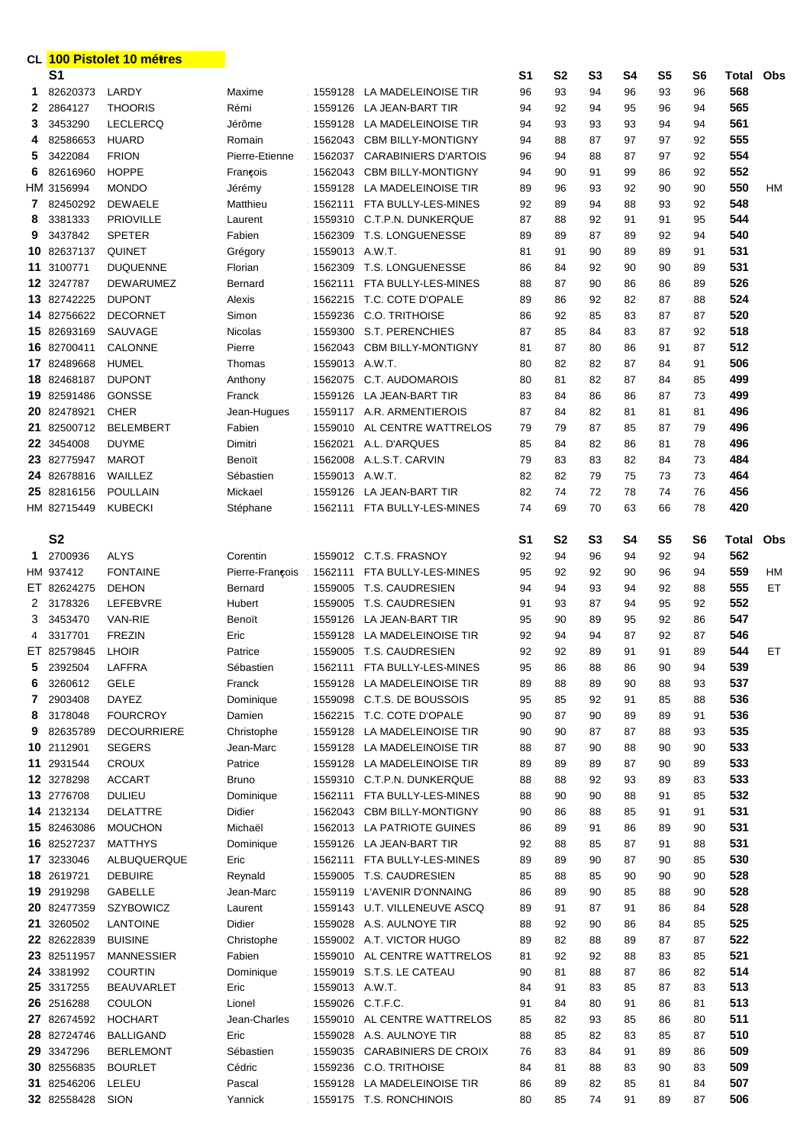| CL 100 Pistolet 10 métres |                           |                                     |                         |                    |                                                            |                |                |                |           |                |                |              |           |
|---------------------------|---------------------------|-------------------------------------|-------------------------|--------------------|------------------------------------------------------------|----------------|----------------|----------------|-----------|----------------|----------------|--------------|-----------|
|                           | S <sub>1</sub>            |                                     |                         |                    |                                                            | S <sub>1</sub> | <b>S2</b>      | S <sub>3</sub> | <b>S4</b> | S <sub>5</sub> | S <sub>6</sub> | <b>Total</b> | Obs       |
| 1.                        | 82620373                  | LARDY                               | Maxime                  |                    | 1559128 LA MADELEINOISE TIR                                | 96             | 93             | 94             | 96        | 93             | 96             | 568          |           |
| $\mathbf{2}$              | 2864127                   | <b>THOORIS</b>                      | Rémi                    |                    | 1559126 LA JEAN-BART TIR                                   | 94             | 92             | 94             | 95        | 96             | 94             | 565          |           |
| 3                         | 3453290                   | <b>LECLERCQ</b>                     | Jérôme                  | 1559128            | LA MADELEINOISE TIR                                        | 94             | 93             | 93             | 93        | 94             | 94             | 561          |           |
| 4                         | 82586653                  | <b>HUARD</b>                        | Romain                  | 1562043            | <b>CBM BILLY-MONTIGNY</b>                                  | 94             | 88             | 87             | 97        | 97             | 92             | 555          |           |
| 5                         | 3422084                   | <b>FRION</b>                        | Pierre-Etienne          | 1562037            | <b>CARABINIERS D'ARTOIS</b>                                | 96             | 94             | 88             | 87        | 97             | 92             | 554          |           |
| 6                         | 82616960                  | <b>HOPPE</b>                        | François                | 1562043            | <b>CBM BILLY-MONTIGNY</b>                                  | 94             | 90             | 91             | 99        | 86             | 92             | 552          |           |
|                           | HM 3156994                | <b>MONDO</b>                        | Jérémy                  | 1559128            | LA MADELEINOISE TIR                                        | 89             | 96             | 93             | 92        | 90             | 90             | 550          | <b>HM</b> |
| 7                         | 82450292                  | <b>DEWAELE</b>                      | Matthieu                |                    | 1562111 FTA BULLY-LES-MINES                                | 92             | 89             | 94             | 88        | 93             | 92             | 548          |           |
| 8                         | 3381333                   | <b>PRIOVILLE</b>                    | Laurent                 | 1559310            | C.T.P.N. DUNKERQUE                                         | 87             | 88             | 92             | 91        | 91             | 95             | 544          |           |
| 9                         | 3437842                   | <b>SPETER</b>                       | Fabien                  | 1562309            | T.S. LONGUENESSE                                           | 89             | 89             | 87             | 89        | 92             | 94             | 540          |           |
|                           | 10 82637137               | <b>QUINET</b>                       | Grégory                 | 1559013 A.W.T.     |                                                            | 81             | 91             | 90             | 89        | 89             | 91             | 531          |           |
| 11                        | 3100771                   | <b>DUQUENNE</b>                     | Florian                 | 1562309            | T.S. LONGUENESSE                                           | 86             | 84             | 92             | 90        | 90             | 89             | 531          |           |
|                           | 12 3247787                | <b>DEWARUMEZ</b>                    | Bernard                 | 1562111            | FTA BULLY-LES-MINES                                        | 88             | 87             | 90             | 86        | 86             | 89             | 526          |           |
|                           | 13 82742225               | <b>DUPONT</b>                       | Alexis                  | 1562215            | T.C. COTE D'OPALE                                          | 89             | 86             | 92             | 82        | 87             | 88             | 524          |           |
|                           | 14 82756622               | <b>DECORNET</b>                     | Simon                   | 1559236            | C.O. TRITHOISE                                             | 86             | 92             | 85             | 83        | 87             | 87             | 520          |           |
|                           | 15 82693169               | SAUVAGE                             | <b>Nicolas</b>          | 1559300            | S.T. PERENCHIES                                            | 87             | 85             | 84             | 83        | 87             | 92             | 518          |           |
|                           | 16 82700411               | CALONNE                             | Pierre                  | 1562043            | <b>CBM BILLY-MONTIGNY</b>                                  | 81             | 87             | 80             | 86        | 91             | 87             | 512          |           |
|                           | 17 82489668               | <b>HUMEL</b>                        | Thomas                  | 1559013 A.W.T.     |                                                            | 80             | 82             | 82             | 87        | 84             | 91             | 506<br>499   |           |
| 18                        | 82468187<br>19 82591486   | <b>DUPONT</b><br><b>GONSSE</b>      | Anthony<br>Franck       | 1562075<br>1559126 | C.T. AUDOMAROIS<br>LA JEAN-BART TIR                        | 80             | 81<br>84       | 82<br>86       | 87<br>86  | 84<br>87       | 85<br>73       | 499          |           |
|                           | 20 82478921               | <b>CHER</b>                         |                         |                    | 1559117 A.R. ARMENTIEROIS                                  | 83<br>87       | 84             | 82             |           | 81             |                | 496          |           |
| 21.                       | 82500712                  | <b>BELEMBERT</b>                    | Jean-Hugues<br>Fabien   | 1559010            | AL CENTRE WATTRELOS                                        | 79             | 79             | 87             | 81<br>85  | 87             | 81<br>79       | 496          |           |
|                           | 22 3454008                | <b>DUYME</b>                        | Dimitri                 | 1562021            | A.L. D'ARQUES                                              | 85             | 84             | 82             | 86        | 81             | 78             | 496          |           |
|                           | 23 82775947               | <b>MAROT</b>                        | Benoït                  | 1562008            | A.L.S.T. CARVIN                                            | 79             | 83             | 83             | 82        | 84             | 73             | 484          |           |
|                           | 24 82678816               | WAILLEZ                             | Sébastien               | 1559013 A.W.T.     |                                                            | 82             | 82             | 79             | 75        | 73             | 73             | 464          |           |
|                           | 25 82816156               | <b>POULLAIN</b>                     | Mickael                 | 1559126            | LA JEAN-BART TIR                                           | 82             | 74             | 72             | 78        | 74             | 76             | 456          |           |
|                           | HM 82715449               | <b>KUBECKI</b>                      | Stéphane                | 1562111            | FTA BULLY-LES-MINES                                        | 74             | 69             | 70             | 63        | 66             | 78             | 420          |           |
|                           |                           |                                     |                         |                    |                                                            |                |                |                |           |                |                |              |           |
|                           | <b>S2</b>                 |                                     |                         |                    |                                                            | S1             | S <sub>2</sub> | S <sub>3</sub> | S4        | S <sub>5</sub> | S <sub>6</sub> | Total        | Obs       |
| 1                         | 2700936                   | <b>ALYS</b>                         | Corentin                |                    | 1559012 C.T.S. FRASNOY                                     | 92             | 94             | 96             | 94        | 92             | 94             | 562          |           |
|                           | HM 937412                 | <b>FONTAINE</b>                     | Pierre-François         |                    | 1562111 FTA BULLY-LES-MINES                                | 95             | 92             | 92             | 90        | 96             | 94             | 559          | HМ        |
|                           | ET 82624275               | <b>DEHON</b>                        | <b>Bernard</b>          |                    | 1559005 T.S. CAUDRESIEN                                    | 94             | 94             | 93             | 94        | 92             | 88             | 555          | ET        |
| $2^{\circ}$               | 3178326                   | LEFEBVRE                            | Hubert                  |                    | 1559005 T.S. CAUDRESIEN                                    | 91             | 93             | 87             | 94        | 95             | 92             | 552          |           |
| 3                         | 3453470                   | <b>VAN-RIE</b>                      | Benoït                  |                    | 1559126 LA JEAN-BART TIR                                   | 95             | 90             | 89             | 95        | 92             | 86             | 547          |           |
| 4                         | 3317701                   | <b>FREZIN</b>                       | Eric                    |                    | 1559128 LA MADELEINOISE TIR                                | 92             | 94             | 94             | 87        | 92             | 87             | 546          |           |
|                           | ET 82579845               | <b>LHOIR</b>                        | Patrice                 |                    | 1559005 T.S. CAUDRESIEN                                    | 92             | 92             | 89             | 91        | 91             | 89             | 544          | ET.       |
| 5                         | 2392504                   | <b>LAFFRA</b>                       | Sébastien               |                    | 1562111 FTA BULLY-LES-MINES                                | 95             | 86             | 88             | 86        | 90             | 94             | 539          |           |
| 6                         | 3260612                   | <b>GELE</b>                         | Franck                  |                    | 1559128 LA MADELEINOISE TIR                                | 89             | 88             | 89             | 90        | 88             | 93             | 537          |           |
| 7                         | 2903408                   | <b>DAYEZ</b>                        | Dominique               |                    | 1559098 C.T.S. DE BOUSSOIS                                 | 95             | 85             | 92             | 91        | 85             | 88             | 536          |           |
| 8                         | 3178048                   | <b>FOURCROY</b>                     | Damien                  |                    | 1562215 T.C. COTE D'OPALE                                  | 90             | 87<br>90       | 90<br>87       | 89<br>87  | 89<br>88       | 91             | 536<br>535   |           |
| 9                         | 82635789<br>10 2112901    | <b>DECOURRIERE</b><br><b>SEGERS</b> | Christophe<br>Jean-Marc |                    | 1559128 LA MADELEINOISE TIR<br>1559128 LA MADELEINOISE TIR | 90<br>88       | 87             | 90             | 88        | 90             | 93<br>90       | 533          |           |
|                           | 11 2931544                | <b>CROUX</b>                        | Patrice                 |                    | 1559128 LA MADELEINOISE TIR                                | 89             | 89             | 89             | 87        | 90             | 89             | 533          |           |
|                           | 12 3278298                | <b>ACCART</b>                       | <b>Bruno</b>            |                    | 1559310 C.T.P.N. DUNKERQUE                                 | 88             | 88             | 92             | 93        | 89             | 83             | 533          |           |
|                           | 13 2776708                | <b>DULIEU</b>                       | Dominique               | 1562111            | FTA BULLY-LES-MINES                                        | 88             | 90             | 90             | 88        | 91             | 85             | 532          |           |
|                           | 14 2132134                | <b>DELATTRE</b>                     | Didier                  |                    | 1562043 CBM BILLY-MONTIGNY                                 | 90             | 86             | 88             | 85        | 91             | 91             | 531          |           |
|                           | 15 82463086               | <b>MOUCHON</b>                      | Michaël                 |                    | 1562013 LA PATRIOTE GUINES                                 | 86             | 89             | 91             | 86        | 89             | 90             | 531          |           |
|                           | 16 82527237               | <b>MATTHYS</b>                      | Dominique               |                    | 1559126 LA JEAN-BART TIR                                   | 92             | 88             | 85             | 87        | 91             | 88             | 531          |           |
|                           | 17 3233046                | ALBUQUERQUE                         | Eric                    |                    | 1562111 FTA BULLY-LES-MINES                                | 89             | 89             | 90             | 87        | 90             | 85             | 530          |           |
|                           | 18 2619721                | <b>DEBUIRE</b>                      | Reynald                 |                    | 1559005 T.S. CAUDRESIEN                                    | 85             | 88             | 85             | 90        | 90             | 90             | 528          |           |
|                           | 19 2919298                | <b>GABELLE</b>                      | Jean-Marc               |                    | 1559119 L'AVENIR D'ONNAING                                 | 86             | 89             | 90             | 85        | 88             | 90             | 528          |           |
|                           | 20 82477359               | SZYBOWICZ                           | Laurent                 |                    | 1559143 U.T. VILLENEUVE ASCQ                               | 89             | 91             | 87             | 91        | 86             | 84             | 528          |           |
|                           | 21 3260502                | <b>LANTOINE</b>                     | Didier                  |                    | 1559028 A.S. AULNOYE TIR                                   | 88             | 92             | 90             | 86        | 84             | 85             | 525          |           |
|                           | 22 82622839               | <b>BUISINE</b>                      | Christophe              |                    | 1559002 A.T. VICTOR HUGO                                   | 89             | 82             | 88             | 89        | 87             | 87             | 522          |           |
|                           | 23 82511957               | <b>MANNESSIER</b>                   | Fabien                  |                    | 1559010 AL CENTRE WATTRELOS                                | 81             | 92             | 92             | 88        | 83             | 85             | 521          |           |
|                           | 24 3381992                | <b>COURTIN</b>                      | Dominique               |                    | 1559019 S.T.S. LE CATEAU                                   | 90             | 81             | 88             | 87        | 86             | 82             | 514          |           |
|                           | 25 3317255                | <b>BEAUVARLET</b>                   | Eric                    | 1559013 A.W.T.     |                                                            | 84             | 91             | 83             | 85        | 87             | 83             | 513          |           |
|                           | 26 2516288                | <b>COULON</b>                       | Lionel                  | 1559026 C.T.F.C.   |                                                            | 91             | 84             | 80             | 91        | 86             | 81             | 513          |           |
|                           | 27 82674592               | <b>HOCHART</b>                      | Jean-Charles            |                    | 1559010 AL CENTRE WATTRELOS                                | 85             | 82             | 93             | 85        | 86             | 80             | 511          |           |
|                           | 28 82724746<br>29 3347296 | <b>BALLIGAND</b>                    | Eric<br>Sébastien       |                    | 1559028 A.S. AULNOYE TIR                                   | 88             | 85<br>83       | 82             | 83        | 85             | 87             | 510<br>509   |           |
|                           | 30 82556835               | <b>BERLEMONT</b><br><b>BOURLET</b>  | Cédric                  | 1559035            | <b>CARABINIERS DE CROIX</b><br>1559236 C.O. TRITHOISE      | 76<br>84       | 81             | 84<br>88       | 91<br>83  | 89<br>90       | 86<br>83       | 509          |           |
|                           | 31 82546206               | LELEU                               | Pascal                  | 1559128            | LA MADELEINOISE TIR                                        | 86             | 89             | 82             | 85        | 81             | 84             | 507          |           |
|                           | 32 82558428 SION          |                                     | Yannick                 |                    | 1559175 T.S. RONCHINOIS                                    | 80             | 85             | 74             | 91        | 89             | 87             | 506          |           |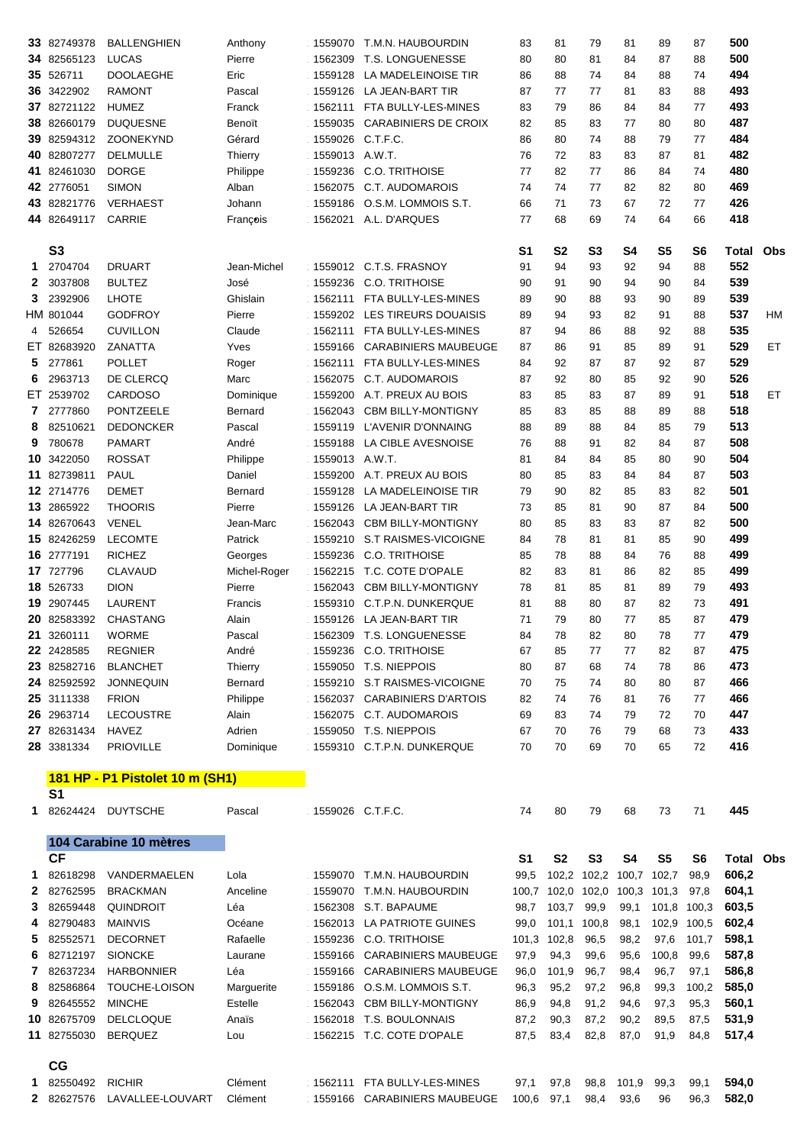|                       | 33 82749378                | <b>BALLENGHIEN</b>                | Anthony                 |                  | 1559070 T.M.N. HAUBOURDIN                                   | 83             | 81           | 79             | 81            | 89             | 87             | 500            |           |
|-----------------------|----------------------------|-----------------------------------|-------------------------|------------------|-------------------------------------------------------------|----------------|--------------|----------------|---------------|----------------|----------------|----------------|-----------|
|                       | 34 82565123                | <b>LUCAS</b>                      | Pierre                  |                  | 1562309 T.S. LONGUENESSE                                    | 80             | 80           | 81             | 84            | 87             | 88             | 500            |           |
|                       | 35 526711                  | <b>DOOLAEGHE</b>                  | Eric                    | 1559128          | LA MADELEINOISE TIR                                         | 86             | 88           | 74             | 84            | 88             | 74             | 494            |           |
|                       | 36 3422902                 | <b>RAMONT</b>                     | Pascal                  |                  | 1559126 LA JEAN-BART TIR                                    | 87             | 77           | 77             | 81            | 83             | 88             | 493            |           |
|                       | 37 82721122                | <b>HUMEZ</b>                      | Franck                  |                  | 1562111 FTA BULLY-LES-MINES                                 | 83             | 79           | 86             | 84            | 84             | 77             | 493            |           |
|                       | 38 82660179                | <b>DUQUESNE</b>                   | Benoït                  | 1559035          | <b>CARABINIERS DE CROIX</b>                                 | 82             | 85           | 83             | 77            | 80             | 80             | 487            |           |
|                       | 39 82594312                | ZOONEKYND                         | Gérard                  | 1559026 C.T.F.C. |                                                             | 86             | 80           | 74             | 88            | 79             | 77             | 484            |           |
|                       | 40 82807277                | <b>DELMULLE</b>                   | Thierry                 | 1559013 A.W.T.   |                                                             | 76             | 72           | 83             | 83            | 87             | 81             | 482            |           |
|                       | 41 82461030                | <b>DORGE</b>                      | Philippe                | 1559236          | <b>C.O. TRITHOISE</b>                                       | 77             | 82           | 77             | 86            | 84             | 74             | 480            |           |
|                       | 42 2776051                 | <b>SIMON</b>                      | Alban                   | 1562075          | <b>C.T. AUDOMAROIS</b>                                      | 74             | 74           | 77             | 82            | 82             | 80             | 469            |           |
|                       | 43 82821776<br>44 82649117 | <b>VERHAEST</b><br><b>CARRIE</b>  | Johann                  | 1559186          | O.S.M. LOMMOIS S.T.<br>1562021 A.L. D'ARQUES                | 66<br>77       | 71<br>68     | 73<br>69       | 67<br>74      | 72<br>64       | 77<br>66       | 426<br>418     |           |
|                       |                            |                                   | François                |                  |                                                             |                |              |                |               |                |                |                |           |
|                       | <b>S3</b>                  |                                   |                         |                  |                                                             | S <sub>1</sub> | <b>S2</b>    | S <sub>3</sub> | <b>S4</b>     | S <sub>5</sub> | S <sub>6</sub> | Total          | Obs       |
| 1.                    | 2704704                    | <b>DRUART</b>                     | Jean-Michel             |                  | 1559012 C.T.S. FRASNOY                                      | 91             | 94           | 93             | 92            | 94             | 88             | 552            |           |
| $\mathbf{2}^{\prime}$ | 3037808                    | <b>BULTEZ</b>                     | José                    | 1559236          | <b>C.O. TRITHOISE</b>                                       | 90             | 91           | 90             | 94            | 90             | 84             | 539            |           |
| 3.                    | 2392906                    | <b>LHOTE</b>                      | Ghislain                | 1562111          | FTA BULLY-LES-MINES                                         | 89             | 90           | 88             | 93            | 90             | 89             | 539            |           |
|                       | HM 801044                  | <b>GODFROY</b>                    | Pierre                  | 1559202          | LES TIREURS DOUAISIS                                        | 89             | 94           | 93             | 82            | 91             | 88             | 537            | <b>HM</b> |
| 4                     | 526654                     | <b>CUVILLON</b>                   | Claude                  | 1562111          | FTA BULLY-LES-MINES                                         | 87             | 94           | 86             | 88            | 92             | 88             | 535            |           |
|                       | ET 82683920                | ZANATTA                           | Yves                    | 1559166          | <b>CARABINIERS MAUBEUGE</b>                                 | 87             | 86           | 91             | 85            | 89             | 91             | 529            | ET.       |
| 5                     | 277861                     | <b>POLLET</b>                     | Roger                   | 1562111          | FTA BULLY-LES-MINES                                         | 84             | 92           | 87             | 87            | 92             | 87             | 529            |           |
| 6                     | 2963713                    | DE CLERCQ                         | Marc                    | 1562075          | C.T. AUDOMAROIS                                             | 87             | 92           | 80             | 85            | 92             | 90             | 526            |           |
|                       | ET 2539702                 | <b>CARDOSO</b>                    | Dominique               | 1559200          | A.T. PREUX AU BOIS                                          | 83             | 85           | 83             | 87            | 89             | 91             | 518            | <b>ET</b> |
| 7                     | 2777860                    | <b>PONTZEELE</b>                  | <b>Bernard</b>          | 1562043          | <b>CBM BILLY-MONTIGNY</b>                                   | 85             | 83           | 85             | 88            | 89             | 88             | 518            |           |
| 8                     | 82510621                   | <b>DEDONCKER</b>                  | Pascal                  | 1559119          | L'AVENIR D'ONNAING                                          | 88             | 89           | 88             | 84            | 85             | 79             | 513            |           |
| 9                     | 780678                     | <b>PAMART</b>                     | André                   | 1559188          | LA CIBLE AVESNOISE                                          | 76             | 88           | 91             | 82            | 84             | 87             | 508            |           |
|                       | 10 3422050                 | <b>ROSSAT</b>                     | Philippe                | 1559013 A.W.T.   |                                                             | 81             | 84           | 84             | 85            | 80             | 90             | 504            |           |
|                       | 11 82739811                | <b>PAUL</b>                       | Daniel                  |                  | 1559200 A.T. PREUX AU BOIS                                  | 80             | 85           | 83             | 84            | 84             | 87             | 503            |           |
|                       | 12 2714776                 | <b>DEMET</b>                      | <b>Bernard</b>          | 1559128          | LA MADELEINOISE TIR                                         | 79             | 90           | 82             | 85            | 83             | 82             | 501            |           |
|                       | 13 2865922                 | <b>THOORIS</b>                    | Pierre                  | 1559126          | LA JEAN-BART TIR                                            | 73             | 85           | 81             | 90            | 87             | 84             | 500            |           |
|                       | 14 82670643                | <b>VENEL</b>                      | Jean-Marc               | 1562043          | <b>CBM BILLY-MONTIGNY</b>                                   | 80             | 85           | 83             | 83            | 87             | 82             | 500            |           |
|                       | 15 82426259<br>16 2777191  | <b>LECOMTE</b>                    | Patrick                 |                  | 1559210 S.T RAISMES-VICOIGNE                                | 84             | 78           | 81             | 81            | 85             | 90             | 499            |           |
|                       | 17 727796                  | <b>RICHEZ</b><br><b>CLAVAUD</b>   | Georges<br>Michel-Roger | 1559236          | <b>C.O. TRITHOISE</b><br>1562215 T.C. COTE D'OPALE          | 85<br>82       | 78<br>83     | 88<br>81       | 84<br>86      | 76<br>82       | 88<br>85       | 499<br>499     |           |
|                       | 18 526733                  | <b>DION</b>                       | Pierre                  | 1562043          | <b>CBM BILLY-MONTIGNY</b>                                   | 78             | 81           | 85             | 81            | 89             | 79             | 493            |           |
|                       | 19 2907445                 | <b>LAURENT</b>                    | Francis                 |                  | 1559310 C.T.P.N. DUNKERQUE                                  | 81             | 88           | 80             | 87            | 82             | 73             | 491            |           |
|                       | 20 82583392                | <b>CHASTANG</b>                   | Alain                   |                  | 1559126 LA JEAN-BART TIR                                    | 71             | 79           | 80             | 77            | 85             | 87             | 479            |           |
| 21                    | 3260111                    | <b>WORME</b>                      | Pascal                  |                  | 1562309 T.S. LONGUENESSE                                    | 84             | 78           | 82             | 80            | 78             | 77             | 479            |           |
|                       | 22 2428585                 | <b>REGNIER</b>                    | André                   | 1559236          | <b>C.O. TRITHOISE</b>                                       | 67             | 85           | 77             | 77            | 82             | 87             | 475            |           |
|                       | 23 82582716                | <b>BLANCHET</b>                   | Thierry                 |                  | 1559050 T.S. NIEPPOIS                                       | 80             | 87           | 68             | 74            | 78             | 86             | 473            |           |
|                       | 24 82592592                | <b>JONNEQUIN</b>                  | <b>Bernard</b>          | 1559210          | S.T RAISMES-VICOIGNE                                        | 70             | 75           | 74             | 80            | 80             | 87             | 466            |           |
|                       | 25 3111338                 | <b>FRION</b>                      | Philippe                | 1562037          | <b>CARABINIERS D'ARTOIS</b>                                 | 82             | 74           | 76             | 81            | 76             | 77             | 466            |           |
|                       | 26 2963714                 | <b>LECOUSTRE</b>                  | Alain                   |                  | 1562075 C.T. AUDOMAROIS                                     | 69             | 83           | 74             | 79            | 72             | 70             | 447            |           |
|                       | 27 82631434                | <b>HAVEZ</b>                      | Adrien                  |                  | 1559050 T.S. NIEPPOIS                                       | 67             | 70           | 76             | 79            | 68             | 73             | 433            |           |
|                       | 28 3381334                 | <b>PRIOVILLE</b>                  | Dominique               |                  | 1559310 C.T.P.N. DUNKERQUE                                  | 70             | 70           | 69             | 70            | 65             | 72             | 416            |           |
|                       |                            |                                   |                         |                  |                                                             |                |              |                |               |                |                |                |           |
|                       |                            | 181 HP - P1 Pistolet 10 m (SH1)   |                         |                  |                                                             |                |              |                |               |                |                |                |           |
| 1                     | S <sub>1</sub><br>82624424 | <b>DUYTSCHE</b>                   | Pascal                  | 1559026 C.T.F.C. |                                                             | 74             | 80           | 79             | 68            | 73             | 71             | 445            |           |
|                       |                            |                                   |                         |                  |                                                             |                |              |                |               |                |                |                |           |
|                       |                            | 104 Carabine 10 mètres            |                         |                  |                                                             |                |              |                |               |                |                |                |           |
|                       | <b>CF</b>                  |                                   |                         |                  |                                                             | S <sub>1</sub> | <b>S2</b>    | S <sub>3</sub> | S4            | S <sub>5</sub> | S <sub>6</sub> | Total          | Obs       |
|                       | 82618298                   | VANDERMAELEN                      | Lola                    |                  | 1559070 T.M.N. HAUBOURDIN                                   | 99,5           | 102,2        | 102,2          | 100,7         | 102,7          | 98,9           | 606,2          |           |
| 2                     | 82762595                   | <b>BRACKMAN</b>                   | Anceline                |                  | 1559070 T.M.N. HAUBOURDIN                                   |                | 100,7 102,0  | 102,0 100,3    |               | 101,3          | 97,8           | 604,1          |           |
| 3.                    | 82659448                   | <b>QUINDROIT</b>                  | Léa                     | 1562308          | S.T. BAPAUME                                                | 98,7           | 103,7        | 99,9           | 99,1          | 101,8 100,3    |                | 603,5          |           |
| 4                     | 82790483                   | <b>MAINVIS</b>                    | Océane                  |                  | 1562013 LA PATRIOTE GUINES                                  | 99,0           | 101,1        | 100,8          | 98,1          | 102,9 100,5    |                | 602,4          |           |
| 5.                    | 82552571                   | <b>DECORNET</b>                   | Rafaelle                | 1559236          | <b>C.O. TRITHOISE</b>                                       | 101,3          | 102,8        | 96,5           | 98,2          | 97,6           | 101,7          | 598,1          |           |
| 6                     | 82712197                   | <b>SIONCKE</b>                    | Laurane                 | 1559166          | <b>CARABINIERS MAUBEUGE</b>                                 | 97,9           | 94,3         | 99,6           | 95,6          | 100,8          | 99,6           | 587,8          |           |
|                       | 82637234                   | <b>HARBONNIER</b>                 | Léa                     | 1559166          | <b>CARABINIERS MAUBEUGE</b>                                 | 96,0           | 101,9        | 96,7           | 98,4          | 96,7           | 97,1           | 586,8          |           |
| 8                     | 82586864                   | TOUCHE-LOISON                     | Marguerite              | 1559186          | O.S.M. LOMMOIS S.T.                                         | 96,3           | 95,2         | 97,2           | 96,8          | 99,3           | 100,2          | 585,0          |           |
| 9                     | 82645552                   | <b>MINCHE</b>                     | Estelle                 | 1562043          | <b>CBM BILLY-MONTIGNY</b>                                   | 86,9           | 94,8         | 91,2           | 94,6          | 97,3           | 95,3           | 560,1          |           |
|                       | 10 82675709                | <b>DELCLOQUE</b>                  | Anaïs                   |                  | 1562018 T.S. BOULONNAIS                                     | 87,2           | 90,3         | 87,2           | 90,2          | 89,5           | 87,5           | 531,9          |           |
|                       |                            |                                   |                         |                  |                                                             |                |              |                |               |                |                |                |           |
|                       | 11 82755030                | <b>BERQUEZ</b>                    | Lou                     |                  | 1562215 T.C. COTE D'OPALE                                   | 87,5           | 83,4         | 82,8           | 87,0          | 91,9           | 84,8           | 517,4          |           |
|                       |                            |                                   |                         |                  |                                                             |                |              |                |               |                |                |                |           |
|                       | CG                         |                                   |                         |                  |                                                             |                |              |                |               |                |                |                |           |
|                       | 82550492<br>2 82627576     | <b>RICHIR</b><br>LAVALLEE-LOUVART | Clément<br>Clément      |                  | 1562111 FTA BULLY-LES-MINES<br>1559166 CARABINIERS MAUBEUGE | 97,1<br>100,6  | 97,8<br>97,1 | 98,8<br>98,4   | 101,9<br>93,6 | 99,3<br>96     | 99,1<br>96,3   | 594,0<br>582,0 |           |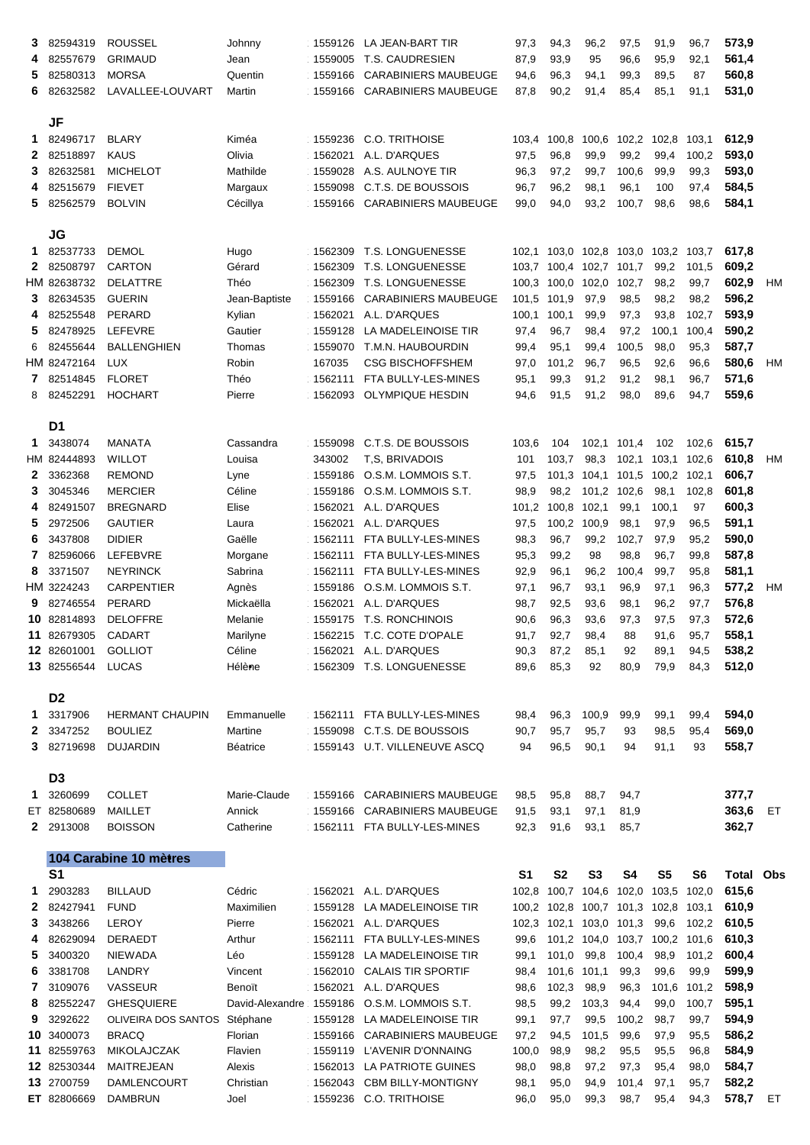| 3<br>4<br>5<br>6                             | 82594319<br>82557679<br>82580313<br>82632582                                                                                                                                                                      | <b>ROUSSEL</b><br><b>GRIMAUD</b><br><b>MORSA</b><br>LAVALLEE-LOUVART                                                                                                                                                                                                 | Johnny<br>Jean<br>Quentin<br>Martin                                                                                                                      | 1559005<br>1559166<br>1559166                                                                                                                         | 1559126 LA JEAN-BART TIR<br><b>T.S. CAUDRESIEN</b><br><b>CARABINIERS MAUBEUGE</b><br><b>CARABINIERS MAUBEUGE</b>                                                                                                                                                                                                                     | 97,3<br>87,9<br>94,6<br>87,8                                                                                          | 94,3<br>93,9<br>96,3<br>90,2                                                                                                | 96,2<br>95<br>94,1<br>91,4                                                                                            | 97,5<br>96,6<br>99,3<br>85,4                                                                                                                         | 91,9<br>95,9<br>89,5<br>85,1                                                                                                 | 96,7<br>92,1<br>87<br>91,1                                                                                    | 573,9<br>561,4<br>560,8<br>531,0                                                                                                      |          |
|----------------------------------------------|-------------------------------------------------------------------------------------------------------------------------------------------------------------------------------------------------------------------|----------------------------------------------------------------------------------------------------------------------------------------------------------------------------------------------------------------------------------------------------------------------|----------------------------------------------------------------------------------------------------------------------------------------------------------|-------------------------------------------------------------------------------------------------------------------------------------------------------|--------------------------------------------------------------------------------------------------------------------------------------------------------------------------------------------------------------------------------------------------------------------------------------------------------------------------------------|-----------------------------------------------------------------------------------------------------------------------|-----------------------------------------------------------------------------------------------------------------------------|-----------------------------------------------------------------------------------------------------------------------|------------------------------------------------------------------------------------------------------------------------------------------------------|------------------------------------------------------------------------------------------------------------------------------|---------------------------------------------------------------------------------------------------------------|---------------------------------------------------------------------------------------------------------------------------------------|----------|
| 1.<br>2<br>3<br>4<br>5.                      | <b>JF</b><br>82496717<br>82518897<br>82632581<br>82515679<br>82562579                                                                                                                                             | <b>BLARY</b><br><b>KAUS</b><br><b>MICHELOT</b><br><b>FIEVET</b><br><b>BOLVIN</b>                                                                                                                                                                                     | Kiméa<br>Olivia<br>Mathilde<br>Margaux<br>Cécillya                                                                                                       | 1559236<br>1562021<br>1559028<br>1559098<br>1559166                                                                                                   | C.O. TRITHOISE<br>A.L. D'ARQUES<br>A.S. AULNOYE TIR<br>C.T.S. DE BOUSSOIS<br><b>CARABINIERS MAUBEUGE</b>                                                                                                                                                                                                                             | 103,4<br>97,5<br>96,3<br>96,7<br>99,0                                                                                 | 100,8<br>96,8<br>97,2<br>96,2<br>94,0                                                                                       | 100,6<br>99,9<br>99,7<br>98,1<br>93,2                                                                                 | 102,2 102,8 103,1<br>99,2<br>100,6<br>96,1<br>100,7                                                                                                  | 99,4<br>99,9<br>100<br>98,6                                                                                                  | 100,2<br>99,3<br>97,4<br>98,6                                                                                 | 612,9<br>593,0<br>593,0<br>584,5<br>584,1                                                                                             |          |
| 1.<br>$\mathbf{2}$<br>3.<br>4<br>5<br>6<br>8 | <b>JG</b><br>82537733<br>82508797<br>HM 82638732<br>82634535<br>82525548<br>82478925<br>82455644<br>HM 82472164<br>82514845<br>82452291                                                                           | <b>DEMOL</b><br><b>CARTON</b><br><b>DELATTRE</b><br><b>GUERIN</b><br>PERARD<br>LEFEVRE<br><b>BALLENGHIEN</b><br><b>LUX</b><br><b>FLORET</b><br><b>HOCHART</b>                                                                                                        | Hugo<br>Gérard<br>Théo<br>Jean-Baptiste<br>Kylian<br>Gautier<br>Thomas<br>Robin<br>Théo<br>Pierre                                                        | 1562309<br>1562309<br>1562309<br>1559166<br>1562021<br>1559128<br>1559070<br>167035<br>1562111<br>1562093                                             | <b>T.S. LONGUENESSE</b><br>T.S. LONGUENESSE<br>T.S. LONGUENESSE<br><b>CARABINIERS MAUBEUGE</b><br>A.L. D'ARQUES<br>LA MADELEINOISE TIR<br>T.M.N. HAUBOURDIN<br><b>CSG BISCHOFFSHEM</b><br>FTA BULLY-LES-MINES<br><b>OLYMPIQUE HESDIN</b>                                                                                             | 103,7<br>100,3<br>101,5<br>100,1<br>97,4<br>99,4<br>97,0<br>95,1<br>94,6                                              | 100,4<br>100,0<br>101,9<br>100,1<br>96,7<br>95,1<br>101,2<br>99,3<br>91,5                                                   | 102,7<br>102,0<br>97,9<br>99,9<br>98,4<br>99,4<br>96,7<br>91,2<br>91,2                                                | 102,1 103,0 102,8 103,0 103,2 103,7<br>101,7<br>102,7<br>98,5<br>97,3<br>97,2<br>100,5<br>96,5<br>91,2<br>98,0                                       | 99,2<br>98,2<br>98,2<br>93,8<br>100,1<br>98,0<br>92,6<br>98,1<br>89,6                                                        | 101,5<br>99,7<br>98,2<br>102,7<br>100,4<br>95,3<br>96,6<br>96,7<br>94,7                                       | 617,8<br>609,2<br>602,9<br>596,2<br>593,9<br>590,2<br>587,7<br>580,6<br>571,6<br>559,6                                                | HM<br>HМ |
| 1.<br>2<br>3<br>4<br>5<br>8                  | D <sub>1</sub><br>3438074<br>HM 82444893<br>3362368<br>3045346<br>82491507<br>2972506<br>6 3437808<br>82596066<br>3371507<br>HM 3224243<br>9 82746554<br>10 82814893<br>11 82679305<br>12 82601001<br>13 82556544 | <b>MANATA</b><br><b>WILLOT</b><br><b>REMOND</b><br><b>MERCIER</b><br><b>BREGNARD</b><br><b>GAUTIER</b><br><b>DIDIER</b><br>LEFEBVRE<br><b>NEYRINCK</b><br><b>CARPENTIER</b><br>PERARD<br><b>DELOFFRE</b><br><b>CADART</b><br><b>GOLLIOT</b><br><b>LUCAS</b>          | Cassandra<br>Louisa<br>Lyne<br>Céline<br>Elise<br>Laura<br>Gaëlle<br>Morgane<br>Sabrina<br>Agnès<br>Mickaëlla<br>Melanie<br>Marilyne<br>Céline<br>Hélène | 1559098<br>343002<br>1559186<br>1559186<br>1562021<br>1562021<br>1562111<br>1562111<br>1559186<br>1562021<br>1559175<br>1562215<br>1562021<br>1562309 | C.T.S. DE BOUSSOIS<br>T.S. BRIVADOIS<br>O.S.M. LOMMOIS S.T.<br>O.S.M. LOMMOIS S.T.<br>A.L. D'ARQUES<br>A.L. D'ARQUES<br>FTA BULLY-LES-MINES<br>FTA BULLY-LES-MINES<br>1562111 FTA BULLY-LES-MINES<br>O.S.M. LOMMOIS S.T.<br>A.L. D'ARQUES<br><b>T.S. RONCHINOIS</b><br>T.C. COTE D'OPALE<br>A.L. D'ARQUES<br><b>T.S. LONGUENESSE</b> | 103,6<br>101<br>97,5<br>98,9<br>101,2<br>97,5<br>98,3<br>95,3<br>92,9<br>97,1<br>98,7<br>90,6<br>91,7<br>90,3<br>89,6 | 104<br>103,7<br>101,3<br>98,2<br>100,8<br>100,2<br>96,7<br>99,2<br>96,1<br>96,7<br>92,5<br>96,3<br>92,7<br>87,2<br>85,3     | 102,1<br>98,3<br>104,1<br>101,2<br>102,1<br>100,9<br>99,2<br>98<br>96,2<br>93,1<br>93,6<br>93,6<br>98,4<br>85,1<br>92 | 101,4<br>102,1<br>101,5<br>102,6<br>99,1<br>98,1<br>102,7<br>98,8<br>100,4<br>96,9<br>98,1<br>97,3<br>88<br>92<br>80,9                               | 102<br>103,1<br>100,2 102,1<br>98,1<br>100,1<br>97,9<br>97,9<br>96,7<br>99,7<br>97,1<br>96,2<br>97,5<br>91,6<br>89,1<br>79,9 | 102,6<br>102,6<br>102,8<br>97<br>96,5<br>95,2<br>99,8<br>95,8<br>96,3<br>97,7<br>97,3<br>95,7<br>94,5<br>84,3 | 615,7<br>610,8<br>606,7<br>601,8<br>600,3<br>591,1<br>590,0<br>587,8<br>581,1<br>577,2<br>576,8<br>572,6<br>558,1<br>538,2<br>512,0   | HM<br>HМ |
| 1.<br>3.<br>1.<br>$\mathbf{2}^-$             | D <sub>2</sub><br>3317906<br>2 3347252<br>82719698<br>D <sub>3</sub><br>3260699<br>ET 82580689<br>2913008                                                                                                         | <b>HERMANT CHAUPIN</b><br><b>BOULIEZ</b><br><b>DUJARDIN</b><br><b>COLLET</b><br><b>MAILLET</b><br><b>BOISSON</b>                                                                                                                                                     | Emmanuelle<br>Martine<br><b>Béatrice</b><br>Marie-Claude<br>Annick<br>Catherine                                                                          | 1559098<br>1559143<br>1559166<br>1559166<br>1562111                                                                                                   | 1562111 FTA BULLY-LES-MINES<br>C.T.S. DE BOUSSOIS<br>U.T. VILLENEUVE ASCQ<br><b>CARABINIERS MAUBEUGE</b><br><b>CARABINIERS MAUBEUGE</b><br>FTA BULLY-LES-MINES                                                                                                                                                                       | 98,4<br>90,7<br>94<br>98,5<br>91,5<br>92,3                                                                            | 96,3<br>95,7<br>96,5<br>95,8<br>93,1<br>91,6                                                                                | 100,9<br>95,7<br>90,1<br>88,7<br>97,1<br>93,1                                                                         | 99,9<br>93<br>94<br>94,7<br>81,9<br>85,7                                                                                                             | 99,1<br>98,5<br>91,1                                                                                                         | 99,4<br>95,4<br>93                                                                                            | 594,0<br>569,0<br>558,7<br>377,7<br>363,6<br>362,7                                                                                    | ET       |
| 1.<br>3<br>4<br>5<br>6<br>7<br>8<br>9        | S <sub>1</sub><br>2903283<br>2 82427941<br>3438266<br>82629094<br>3400320<br>3381708<br>3109076<br>82552247<br>3292622<br>10 3400073<br>11 82559763<br>12 82530344<br>13 2700759                                  | 104 Carabine 10 mètres<br><b>BILLAUD</b><br><b>FUND</b><br><b>LEROY</b><br><b>DERAEDT</b><br><b>NIEWADA</b><br><b>LANDRY</b><br><b>VASSEUR</b><br><b>GHESQUIERE</b><br>OLIVEIRA DOS SANTOS<br><b>BRACQ</b><br><b>MIKOLAJCZAK</b><br><b>MAITREJEAN</b><br>DAMLENCOURT | Cédric<br>Maximilien<br>Pierre<br>Arthur<br>Léo<br>Vincent<br>Benoït<br>David-Alexandre<br>Stéphane<br>Florian<br>Flavien<br>Alexis<br>Christian         | 1562021<br>1559128<br>1562021<br>1562111<br>1559128<br>1562010<br>1562021<br>1559186<br>1559128<br>1559166                                            | A.L. D'ARQUES<br>LA MADELEINOISE TIR<br>A.L. D'ARQUES<br>FTA BULLY-LES-MINES<br>LA MADELEINOISE TIR<br><b>CALAIS TIR SPORTIF</b><br>A.L. D'ARQUES<br>O.S.M. LOMMOIS S.T.<br>LA MADELEINOISE TIR<br><b>CARABINIERS MAUBEUGE</b><br>1559119 L'AVENIR D'ONNAING<br>1562013 LA PATRIOTE GUINES<br>1562043 CBM BILLY-MONTIGNY             | S <sub>1</sub><br>102,8<br>99,6<br>99,1<br>98,4<br>98,6<br>98,5<br>99,1<br>97,2<br>100,0<br>98,0<br>98,1              | <b>S2</b><br>100,7<br>100,2 102,8<br>102,3 102,1<br>101,0<br>101,6<br>102,3<br>99,2<br>97,7<br>94,5<br>98,9<br>98,8<br>95,0 | <b>S3</b><br>104,6<br>103,0<br>101,2 104,0<br>99,8<br>101,1<br>98,9<br>103,3<br>99,5<br>101,5<br>98,2<br>97,2         | <b>S4</b><br>102,0<br>100,7 101,3 102,8 103,1<br>101,3<br>103,7<br>100,4<br>99,3<br>96,3<br>94,4<br>100,2<br>99,6<br>95,5<br>97,3<br>94,9 101,4 97,1 | <b>S5</b><br>103,5<br>99,6<br>100,2 101,6<br>98,9<br>99,6<br>101,6 101,2<br>99,0<br>98,7<br>97,9<br>95,5<br>95,4             | S <sub>6</sub><br>102,0<br>102,2<br>101,2<br>99,9<br>100,7<br>99,7<br>95,5<br>96,8<br>98,0<br>95,7            | <b>Total Obs</b><br>615,6<br>610,9<br>610,5<br>610,3<br>600,4<br>599,9<br>598,9<br>595,1<br>594,9<br>586,2<br>584,9<br>584,7<br>582,2 |          |
|                                              | ET 82806669                                                                                                                                                                                                       | <b>DAMBRUN</b>                                                                                                                                                                                                                                                       | Joel                                                                                                                                                     |                                                                                                                                                       | 1559236 C.O. TRITHOISE                                                                                                                                                                                                                                                                                                               | 96,0                                                                                                                  | 95,0                                                                                                                        | 99,3                                                                                                                  |                                                                                                                                                      | 98,7 95,4                                                                                                                    | 94,3                                                                                                          | 578,7 ET                                                                                                                              |          |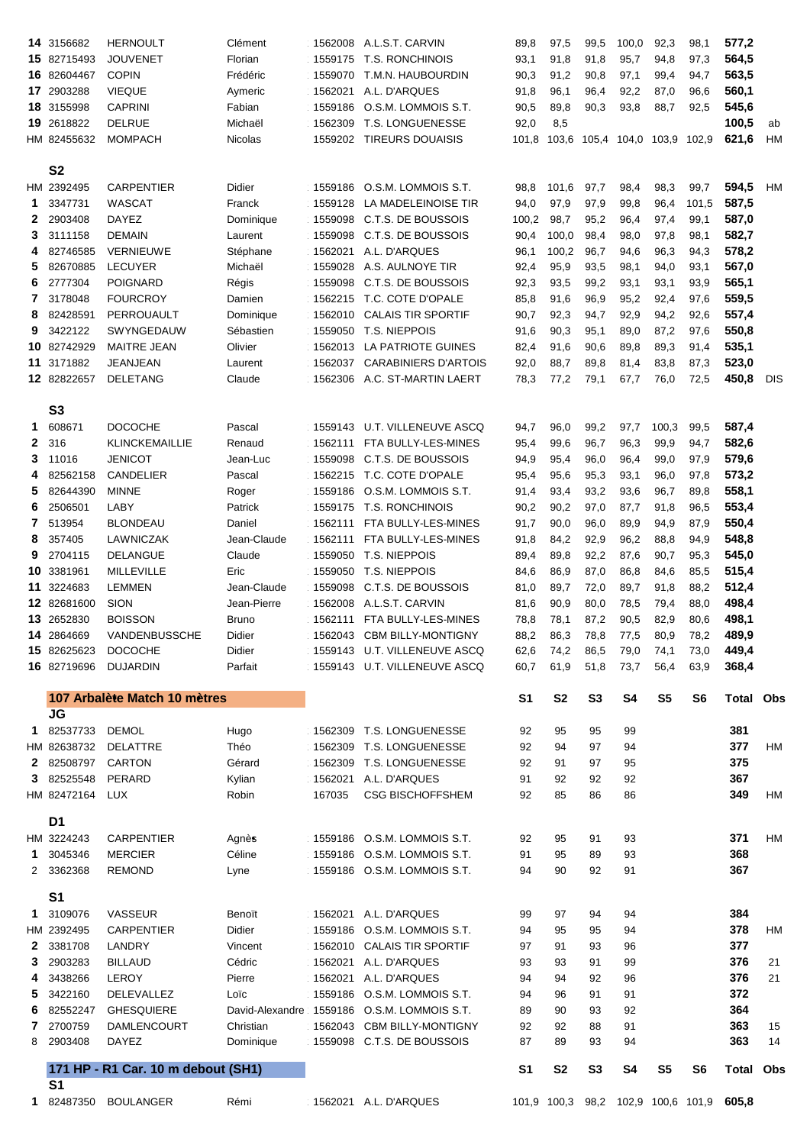|                   | 14 3156682     | <b>HERNOULT</b>                    | Clément                 |                    | 1562008 A.L.S.T. CARVIN        | 89,8           | 97,5           | 99,5           | 100,0          | 92,3                          | 98,1           | 577,2                                    |            |
|-------------------|----------------|------------------------------------|-------------------------|--------------------|--------------------------------|----------------|----------------|----------------|----------------|-------------------------------|----------------|------------------------------------------|------------|
|                   | 15 82715493    | <b>JOUVENET</b>                    | Florian                 | 1559175            | <b>T.S. RONCHINOIS</b>         | 93,1           | 91,8           | 91,8           | 95,7           | 94,8                          | 97,3           | 564,5                                    |            |
|                   | 16 82604467    | <b>COPIN</b>                       | Frédéric                | 1559070            | T.M.N. HAUBOURDIN              | 90,3           | 91,2           | 90,8           | 97,1           | 99,4                          | 94,7           | 563,5                                    |            |
|                   | 17 2903288     | <b>VIEQUE</b>                      | Aymeric                 | 1562021            | A.L. D'ARQUES                  | 91,8           | 96,1           | 96,4           | 92,2           | 87,0                          | 96,6           | 560,1                                    |            |
|                   | 18 3155998     | <b>CAPRINI</b>                     | Fabian                  | 1559186            | O.S.M. LOMMOIS S.T.            | 90,5           | 89,8           | 90,3           | 93,8           | 88,7                          | 92,5           | 545,6                                    |            |
|                   | 19 2618822     | <b>DELRUE</b>                      | Michaël                 | 1562309            | <b>T.S. LONGUENESSE</b>        | 92,0           | 8,5            |                |                |                               |                | 100,5                                    | ab         |
|                   | HM 82455632    | <b>MOMPACH</b>                     | Nicolas                 |                    | 1559202 TIREURS DOUAISIS       | 101,8          |                |                |                | 103,6 105,4 104,0 103,9 102,9 |                | 621,6                                    | HM         |
|                   |                |                                    |                         |                    |                                |                |                |                |                |                               |                |                                          |            |
|                   | S <sub>2</sub> |                                    |                         |                    |                                |                |                |                |                |                               |                |                                          |            |
|                   | HM 2392495     | <b>CARPENTIER</b>                  | <b>Didier</b>           |                    | 1559186 O.S.M. LOMMOIS S.T.    | 98,8           | 101,6          | 97,7           | 98,4           | 98,3                          | 99,7           | 594,5                                    | HM         |
| 1                 | 3347731        | WASCAT                             | Franck                  | 1559128            | LA MADELEINOISE TIR            | 94,0           | 97,9           | 97,9           | 99,8           | 96,4                          | 101,5          | 587,5                                    |            |
| $\mathbf{2}$      | 2903408        | <b>DAYEZ</b>                       | Dominique               |                    | 1559098 C.T.S. DE BOUSSOIS     | 100,2          | 98,7           | 95,2           | 96,4           | 97,4                          | 99,1           | 587,0                                    |            |
| 3                 | 3111158        | <b>DEMAIN</b>                      | Laurent                 | 1559098            | C.T.S. DE BOUSSOIS             | 90,4           | 100,0          | 98,4           | 98,0           | 97,8                          | 98,1           | 582,7                                    |            |
| 4                 | 82746585       | <b>VERNIEUWE</b>                   | Stéphane                | 1562021            | A.L. D'ARQUES                  | 96,1           | 100,2          | 96,7           | 94,6           | 96,3                          | 94,3           | 578,2                                    |            |
| 5                 | 82670885       | <b>LECUYER</b>                     | Michaël                 | 1559028            | A.S. AULNOYE TIR               | 92,4           | 95,9           | 93,5           | 98,1           | 94,0                          | 93,1           | 567,0                                    |            |
| 6                 | 2777304        | <b>POIGNARD</b>                    | Régis                   | 1559098            | C.T.S. DE BOUSSOIS             | 92,3           | 93,5           | 99,2           | 93,1           | 93,1                          | 93,9           | 565,1                                    |            |
| 7                 | 3178048        | <b>FOURCROY</b>                    | Damien                  | 1562215            | T.C. COTE D'OPALE              | 85,8           | 91,6           | 96,9           | 95,2           | 92,4                          | 97,6           | 559,5                                    |            |
| 8                 | 82428591       | PERROUAULT                         | Dominique               | 1562010            | <b>CALAIS TIR SPORTIF</b>      | 90,7           | 92,3           | 94,7           | 92,9           | 94,2                          | 92,6           | 557,4                                    |            |
| 9                 | 3422122        | SWYNGEDAUW                         | Sébastien               | 1559050            | <b>T.S. NIEPPOIS</b>           | 91,6           | 90,3           | 95,1           | 89,0           | 87,2                          | 97,6           | 550,8                                    |            |
|                   | 10 82742929    | <b>MAITRE JEAN</b>                 | Olivier                 | 1562013            | LA PATRIOTE GUINES             | 82,4           | 91,6           | 90,6           | 89,8           | 89,3                          | 91,4           | 535,1                                    |            |
|                   | 11 3171882     | <b>JEANJEAN</b>                    | Laurent                 | 1562037            | <b>CARABINIERS D'ARTOIS</b>    | 92,0           | 88,7           | 89,8           | 81,4           | 83,8                          | 87,3           | 523,0                                    |            |
|                   | 12 82822657    | <b>DELETANG</b>                    | Claude                  | 1562306            | A.C. ST-MARTIN LAERT           | 78,3           | 77,2           | 79,1           | 67,7           | 76,0                          | 72,5           | 450,8                                    | <b>DIS</b> |
|                   |                |                                    |                         |                    |                                |                |                |                |                |                               |                |                                          |            |
|                   | S <sub>3</sub> |                                    |                         |                    |                                |                |                |                |                |                               |                |                                          |            |
| 1                 | 608671         | <b>DOCOCHE</b>                     | Pascal                  |                    | 1559143 U.T. VILLENEUVE ASCQ   |                | 96,0           | 99,2           | 97,7           | 100,3                         | 99,5           | 587,4                                    |            |
|                   |                |                                    |                         |                    |                                | 94,7           |                |                |                |                               |                |                                          |            |
| $\mathbf{2}$      | 316            | <b>KLINCKEMAILLIE</b>              | Renaud                  | 1562111            | FTA BULLY-LES-MINES            | 95,4           | 99,6           | 96,7           | 96,3           | 99,9                          | 94,7           | 582,6                                    |            |
| 3                 | 11016          | <b>JENICOT</b>                     | Jean-Luc                | 1559098            | C.T.S. DE BOUSSOIS             | 94,9           | 95,4           | 96,0           | 96,4           | 99,0                          | 97,9           | 579,6                                    |            |
| 4                 | 82562158       | CANDELIER                          | Pascal                  | 1562215            | T.C. COTE D'OPALE              | 95,4           | 95,6           | 95,3           | 93,1           | 96,0                          | 97,8           | 573,2                                    |            |
| 5                 | 82644390       | <b>MINNE</b>                       | Roger                   | 1559186            | O.S.M. LOMMOIS S.T.            | 91,4           | 93,4           | 93,2           | 93,6           | 96,7                          | 89,8           | 558,1                                    |            |
| 6                 | 2506501        | LABY                               | Patrick                 | 1559175            | T.S. RONCHINOIS                | 90,2           | 90,2           | 97,0           | 87,7           | 91,8                          | 96,5           | 553,4                                    |            |
| 7                 | 513954         | <b>BLONDEAU</b>                    | Daniel                  | 1562111            | FTA BULLY-LES-MINES            | 91,7           | 90,0           | 96,0           | 89,9           | 94,9                          | 87,9           | 550,4                                    |            |
| 8                 | 357405         | <b>LAWNICZAK</b>                   | Jean-Claude             |                    | 1562111 FTA BULLY-LES-MINES    | 91,8           | 84,2           | 92,9           | 96,2           | 88,8                          | 94,9           | 548,8                                    |            |
| 9                 | 2704115        | <b>DELANGUE</b>                    | Claude                  |                    | 1559050 T.S. NIEPPOIS          | 89,4           | 89,8           | 92,2           | 87,6           | 90,7 95,3                     |                | 545,0                                    |            |
|                   | 10 3381961     | <b>MILLEVILLE</b>                  | Eric                    |                    | 1559050 T.S. NIEPPOIS          | 84,6           | 86,9           | 87,0           | 86,8           | 84,6                          | 85,5           | 515,4                                    |            |
|                   | 11 3224683     | <b>LEMMEN</b>                      | Jean-Claude             | 1559098            | C.T.S. DE BOUSSOIS             | 81,0           | 89,7           | 72,0           |                |                               |                | 512,4                                    |            |
|                   |                |                                    |                         |                    |                                |                |                |                | 89,7           | 91,8                          | 88,2           |                                          |            |
|                   | 12 82681600    | <b>SION</b>                        | Jean-Pierre             |                    | 1562008 A.L.S.T. CARVIN        | 81,6           | 90,9           | 80,0           | 78,5           | 79,4                          | 88,0           | 498,4                                    |            |
|                   | 13 2652830     | <b>BOISSON</b>                     | <b>Bruno</b>            | 1562111            | FTA BULLY-LES-MINES            | 78,8           | 78,1           | 87,2           | 90,5           | 82,9                          | 80,6           | 498,1                                    |            |
|                   | 14 2864669     | VANDENBUSSCHE                      | Didier                  | 1562043            | <b>CBM BILLY-MONTIGNY</b>      | 88,2           | 86,3           | 78,8           | 77,5           | 80,9                          | 78,2           | 489,9                                    |            |
|                   | 15 82625623    | <b>DOCOCHE</b>                     | Didier                  |                    | 1559143 U.T. VILLENEUVE ASCQ   | 62,6           | 74,2           | 86,5           | 79,0           | 74,1                          | 73,0           | 449,4                                    |            |
|                   | 16 82719696    | <b>DUJARDIN</b>                    | Parfait                 |                    | 1559143 U.T. VILLENEUVE ASCQ   | 60,7           | 61,9           | 51,8           | 73,7           | 56,4                          | 63,9           | 368,4                                    |            |
|                   |                |                                    |                         |                    |                                |                |                |                |                |                               |                |                                          |            |
|                   |                | 107 Arbalète Match 10 mètres       |                         |                    |                                | S <sub>1</sub> | <b>S2</b>      | S <sub>3</sub> | S <sub>4</sub> | S <sub>5</sub>                | S <sub>6</sub> | <b>Total</b>                             | Obs        |
|                   | <b>JG</b>      |                                    |                         |                    |                                |                |                |                |                |                               |                |                                          |            |
| 1.                | 82537733       | <b>DEMOL</b>                       | Hugo                    | 1562309            | T.S. LONGUENESSE               | 92             | 95             | 95             | 99             |                               |                | 381                                      |            |
|                   | HM 82638732    | <b>DELATTRE</b>                    | Théo                    | 1562309            | T.S. LONGUENESSE               | 92             | 94             | 97             | 94             |                               |                | 377                                      | HM         |
| 2                 | 82508797       | <b>CARTON</b>                      | Gérard                  | 1562309            | T.S. LONGUENESSE               | 92             | 91             | 97             | 95             |                               |                | 375                                      |            |
| 3                 | 82525548       | PERARD                             | Kylian                  | 1562021            | A.L. D'ARQUES                  | 91             | 92             | 92             | 92             |                               |                | 367                                      |            |
|                   | HM 82472164    | <b>LUX</b>                         | Robin                   | 167035             | <b>CSG BISCHOFFSHEM</b>        | 92             | 85             | 86             | 86             |                               |                | 349                                      | HM         |
|                   |                |                                    |                         |                    |                                |                |                |                |                |                               |                |                                          |            |
|                   | D <sub>1</sub> |                                    |                         |                    |                                |                |                |                |                |                               |                |                                          |            |
|                   | HM 3224243     | <b>CARPENTIER</b>                  | Agnès                   | 1559186            | O.S.M. LOMMOIS S.T.            | 92             | 95             | 91             | 93             |                               |                | 371                                      | HM         |
| 1                 | 3045346        | <b>MERCIER</b>                     | Céline                  |                    | 1559186 O.S.M. LOMMOIS S.T.    | 91             | 95             | 89             | 93             |                               |                | 368                                      |            |
| 2                 | 3362368        | <b>REMOND</b>                      | Lyne                    |                    | 1559186 O.S.M. LOMMOIS S.T.    | 94             | 90             | 92             | 91             |                               |                | 367                                      |            |
|                   |                |                                    |                         |                    |                                |                |                |                |                |                               |                |                                          |            |
| 1.                | S <sub>1</sub> |                                    |                         |                    |                                |                |                |                |                |                               |                |                                          |            |
|                   | 3109076        | VASSEUR                            | Benoït                  |                    | 1562021 A.L. D'ARQUES          | 99             | 97             | 94             | 94             |                               |                | 384                                      |            |
|                   | HM 2392495     | <b>CARPENTIER</b>                  | Didier                  | 1559186            | O.S.M. LOMMOIS S.T.            | 94             | 95             | 95             | 94             |                               |                | 378                                      | HM         |
| $\mathbf{2}$<br>3 | 3381708        | <b>LANDRY</b>                      | Vincent                 | 1562010            | <b>CALAIS TIR SPORTIF</b>      | 97<br>93       | 91<br>93       | 93<br>91       | 96<br>99       |                               |                | 377                                      | 21         |
| 4                 | 2903283        | <b>BILLAUD</b>                     | Cédric                  | 1562021            | A.L. D'ARQUES<br>A.L. D'ARQUES |                |                |                |                |                               |                | 376                                      |            |
|                   | 3438266        | <b>LEROY</b>                       | Pierre                  | 1562021<br>1559186 |                                | 94             | 94             | 92             | 96             |                               |                | 376                                      | 21         |
| 5<br>6            | 3422160        | DELEVALLEZ                         | Loïc<br>David-Alexandre |                    | O.S.M. LOMMOIS S.T.            | 94             | 96<br>90       | 91             | 91             |                               |                | 372                                      |            |
|                   | 82552247       | <b>GHESQUIERE</b>                  |                         | 1559186            | O.S.M. LOMMOIS S.T.            | 89             |                | 93             | 92             |                               |                | 364                                      |            |
| 7                 | 2700759        | <b>DAMLENCOURT</b>                 | Christian               | 1562043            | <b>CBM BILLY-MONTIGNY</b>      | 92             | 92             | 88             | 91             |                               |                | 363                                      | 15         |
| 8                 | 2903408        | <b>DAYEZ</b>                       | Dominique               |                    | 1559098 C.T.S. DE BOUSSOIS     | 87             | 89             | 93             | 94             |                               |                | 363                                      | 14         |
|                   |                | 171 HP - R1 Car. 10 m debout (SH1) |                         |                    |                                | S <sub>1</sub> | S <sub>2</sub> | S <sub>3</sub> | S <sub>4</sub> | S <sub>5</sub>                | S <sub>6</sub> | Total                                    | Obs        |
|                   | S <sub>1</sub> |                                    |                         |                    |                                |                |                |                |                |                               |                |                                          |            |
|                   |                | 1 82487350 BOULANGER               | Rémi                    |                    | 1562021 A.L. D'ARQUES          |                |                |                |                |                               |                | 101,9 100,3 98,2 102,9 100,6 101,9 605,8 |            |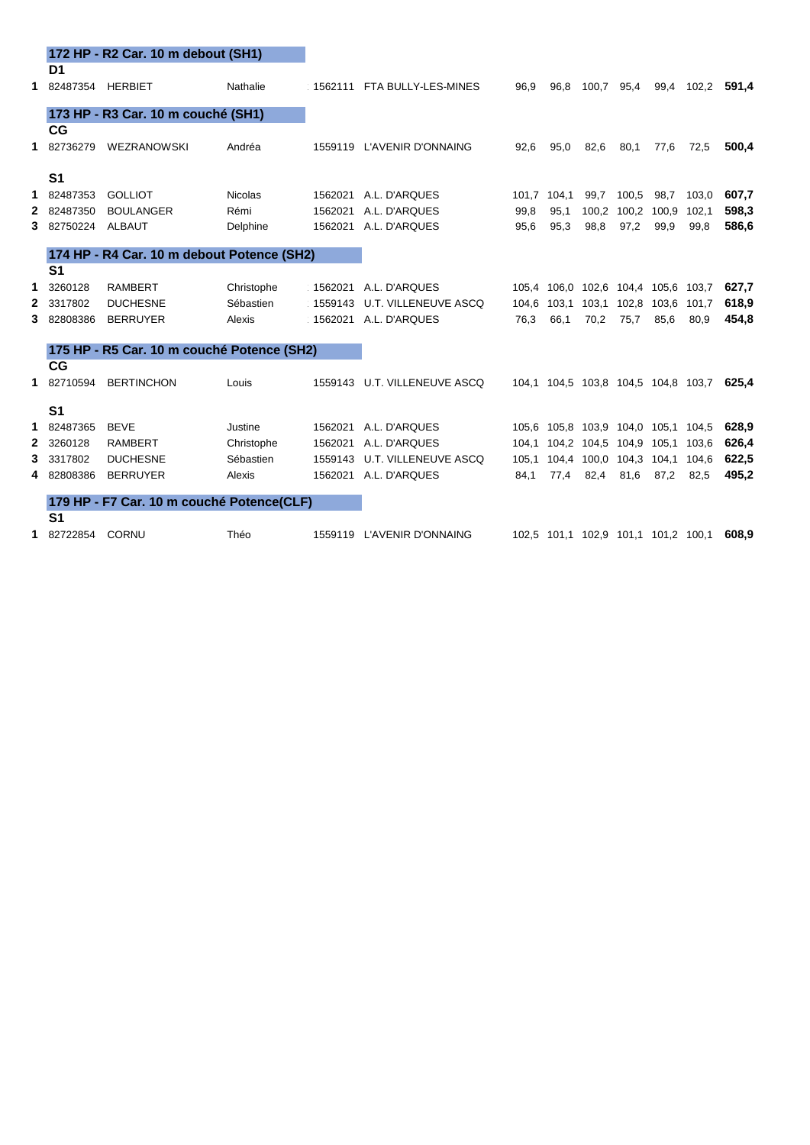|   |                | 172 HP - R2 Car. 10 m debout (SH1)         |                |         |                              |             |                                     |                         |                         |      |                                     |       |
|---|----------------|--------------------------------------------|----------------|---------|------------------------------|-------------|-------------------------------------|-------------------------|-------------------------|------|-------------------------------------|-------|
|   | D1             |                                            |                |         |                              |             |                                     |                         |                         |      |                                     |       |
|   | 1 82487354     | <b>HERBIET</b>                             | Nathalie       |         | 1562111 FTA BULLY-LES-MINES  | 96,9        | 96.8                                | 100,7 95,4              |                         |      | 99,4 102,2                          | 591,4 |
|   |                | 173 HP - R3 Car. 10 m couché (SH1)         |                |         |                              |             |                                     |                         |                         |      |                                     |       |
|   | CG             |                                            |                |         |                              |             |                                     |                         |                         |      |                                     |       |
|   | 1 82736279     | WEZRANOWSKI                                | Andréa         |         | 1559119 L'AVENIR D'ONNAING   | 92,6        | 95,0                                | 82,6                    | 80,1                    | 77,6 | 72,5                                | 500,4 |
|   | S <sub>1</sub> |                                            |                |         |                              |             |                                     |                         |                         |      |                                     |       |
|   | 1 82487353     | <b>GOLLIOT</b>                             | <b>Nicolas</b> | 1562021 | A.L. D'ARQUES                | 101.7 104.1 |                                     | 99.7                    | 100,5                   | 98,7 | 103,0                               | 607,7 |
|   | 2 82487350     | <b>BOULANGER</b>                           | Rémi           |         | 1562021 A.L. D'ARQUES        | 99,8        | 95,1                                |                         | 100,2 100,2 100,9 102,1 |      |                                     | 598,3 |
| 3 | 82750224       | <b>ALBAUT</b>                              | Delphine       |         | 1562021 A.L. D'ARQUES        | 95,6        | 95,3                                | 98,8                    | 97,2                    | 99,9 | 99,8                                | 586,6 |
|   |                | 174 HP - R4 Car. 10 m debout Potence (SH2) |                |         |                              |             |                                     |                         |                         |      |                                     |       |
|   | S <sub>1</sub> |                                            |                |         |                              |             |                                     |                         |                         |      |                                     |       |
| 1 | 3260128        | <b>RAMBERT</b>                             | Christophe     |         | 1562021 A.L. D'ARQUES        |             | 105,4 106,0 102,6 104,4 105,6 103,7 |                         |                         |      |                                     | 627,7 |
|   | 2 3317802      | <b>DUCHESNE</b>                            | Sébastien      | 1559143 | U.T. VILLENEUVE ASCQ         |             | 104,6 103,1                         | 103,1 102,8 103,6 101,7 |                         |      |                                     | 618,9 |
|   | 3 82808386     | <b>BERRUYER</b>                            | Alexis         |         | 1562021 A.L. D'ARQUES        | 76,3        | 66,1                                | 70,2                    | 75,7                    | 85,6 | 80,9                                | 454,8 |
|   |                | 175 HP - R5 Car. 10 m couché Potence (SH2) |                |         |                              |             |                                     |                         |                         |      |                                     |       |
|   | CG             |                                            |                |         |                              |             |                                     |                         |                         |      |                                     |       |
|   | 1 82710594     | <b>BERTINCHON</b>                          | Louis          |         | 1559143 U.T. VILLENEUVE ASCQ |             |                                     |                         |                         |      | 104,1 104,5 103,8 104,5 104,8 103,7 | 625.4 |
|   | S <sub>1</sub> |                                            |                |         |                              |             |                                     |                         |                         |      |                                     |       |
|   | 1 82487365     | <b>BEVE</b>                                | Justine        |         | 1562021 A.L. D'ARQUES        |             | 105,6 105,8 103,9 104,0 105,1 104,5 |                         |                         |      |                                     | 628,9 |
|   | 2 3260128      | <b>RAMBERT</b>                             | Christophe     | 1562021 | A.L. D'ARQUES                |             | 104,1 104,2 104,5 104,9 105,1       |                         |                         |      | 103,6                               | 626,4 |
| 3 | 3317802        | <b>DUCHESNE</b>                            | Sébastien      | 1559143 | U.T. VILLENEUVE ASCQ         |             | 105,1 104,4 100,0 104,3 104,1 104,6 |                         |                         |      |                                     | 622,5 |
| 4 | 82808386       | <b>BERRUYER</b>                            | Alexis         |         | 1562021 A.L. D'ARQUES        | 84,1        | 77,4                                | 82,4                    | 81,6                    | 87,2 | 82,5                                | 495,2 |
|   |                | 179 HP - F7 Car. 10 m couché Potence(CLF)  |                |         |                              |             |                                     |                         |                         |      |                                     |       |
|   | S <sub>1</sub> |                                            |                |         |                              |             |                                     |                         |                         |      |                                     |       |
|   | 1 82722854     | CORNU                                      | Théo           |         | 1559119 L'AVENIR D'ONNAING   |             | 102,5 101,1 102,9 101,1 101,2 100,1 |                         |                         |      |                                     | 608,9 |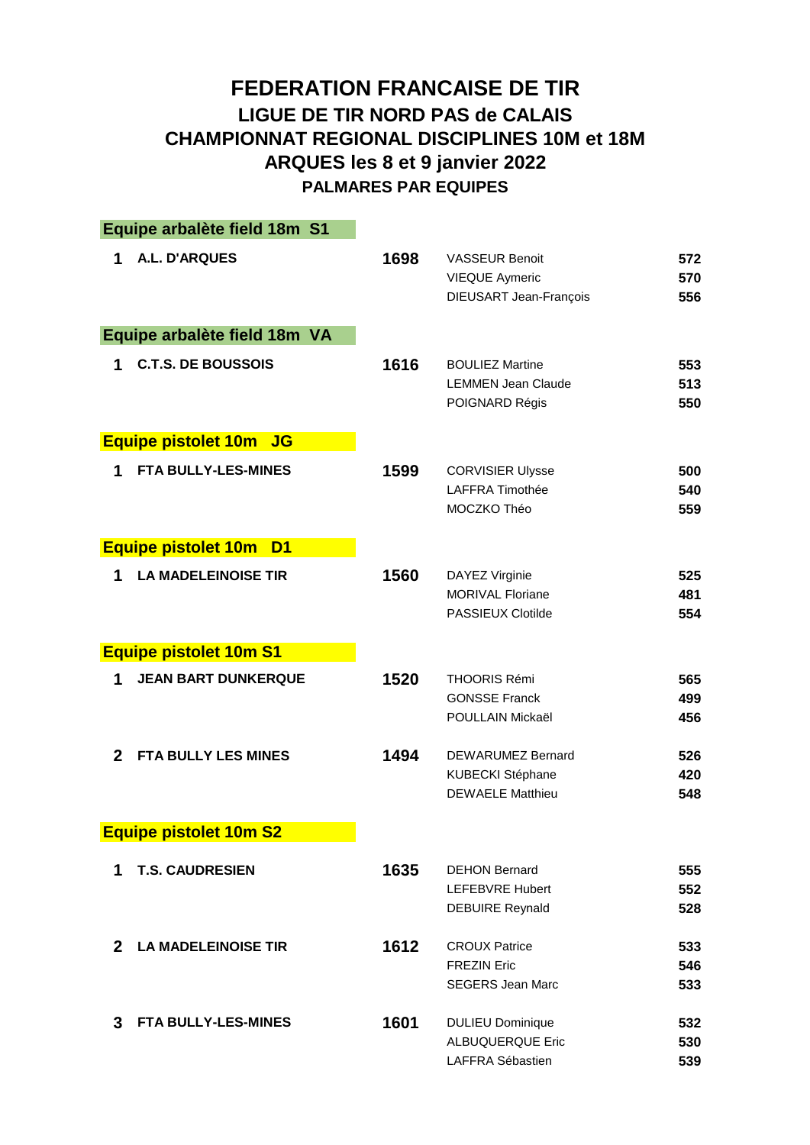## **FEDERATION FRANCAISE DE TIR LIGUE DE TIR NORD PAS de CALAIS CHAMPIONNAT REGIONAL DISCIPLINES 10M et 18M ARQUES les 8 et 9 janvier 2022 PALMARES PAR EQUIPES**

|              | Equipe arbalète field 18m S1                 |      |                                                                          |                   |
|--------------|----------------------------------------------|------|--------------------------------------------------------------------------|-------------------|
| 1            | A.L. D'ARQUES                                | 1698 | <b>VASSEUR Benoit</b><br><b>VIEQUE Aymeric</b><br>DIEUSART Jean-François | 572<br>570<br>556 |
|              | Equipe arbalète field 18m VA                 |      |                                                                          |                   |
| 1            | <b>C.T.S. DE BOUSSOIS</b>                    | 1616 | <b>BOULIEZ Martine</b><br><b>LEMMEN Jean Claude</b><br>POIGNARD Régis    | 553<br>513<br>550 |
|              | <b>Equipe pistolet 10m JG</b>                |      |                                                                          |                   |
| 1            | <b>FTA BULLY-LES-MINES</b>                   | 1599 | <b>CORVISIER Ulysse</b><br>LAFFRA Timothée<br>MOCZKO Théo                | 500<br>540<br>559 |
|              | <b>Equipe pistolet 10m</b><br>D <sub>1</sub> |      |                                                                          |                   |
| 1            | <b>LA MADELEINOISE TIR</b>                   | 1560 | DAYEZ Virginie<br><b>MORIVAL Floriane</b><br>PASSIEUX Clotilde           | 525<br>481<br>554 |
|              | <b>Equipe pistolet 10m S1</b>                |      |                                                                          |                   |
| 1            | <b>JEAN BART DUNKERQUE</b>                   | 1520 | <b>THOORIS Rémi</b><br><b>GONSSE Franck</b><br>POULLAIN Mickaël          | 565<br>499<br>456 |
| $\mathbf 2$  | <b>FTA BULLY LES MINES</b>                   | 1494 | DEWARUMEZ Bernard<br>KUBECKI Stéphane<br><b>DEWAELE Matthieu</b>         | 526<br>420<br>548 |
|              | <b>Equipe pistolet 10m S2</b>                |      |                                                                          |                   |
| 1            | <b>T.S. CAUDRESIEN</b>                       | 1635 | <b>DEHON Bernard</b><br><b>LEFEBVRE Hubert</b><br><b>DEBUIRE Reynald</b> | 555<br>552<br>528 |
| $\mathbf{2}$ | <b>LA MADELEINOISE TIR</b>                   | 1612 | <b>CROUX Patrice</b>                                                     | 533               |
|              |                                              |      | <b>FREZIN Eric</b><br><b>SEGERS Jean Marc</b>                            | 546<br>533        |
| 3            | <b>FTA BULLY-LES-MINES</b>                   | 1601 | <b>DULIEU Dominique</b>                                                  | 532               |
|              |                                              |      | <b>ALBUQUERQUE Eric</b><br>LAFFRA Sébastien                              | 530<br>539        |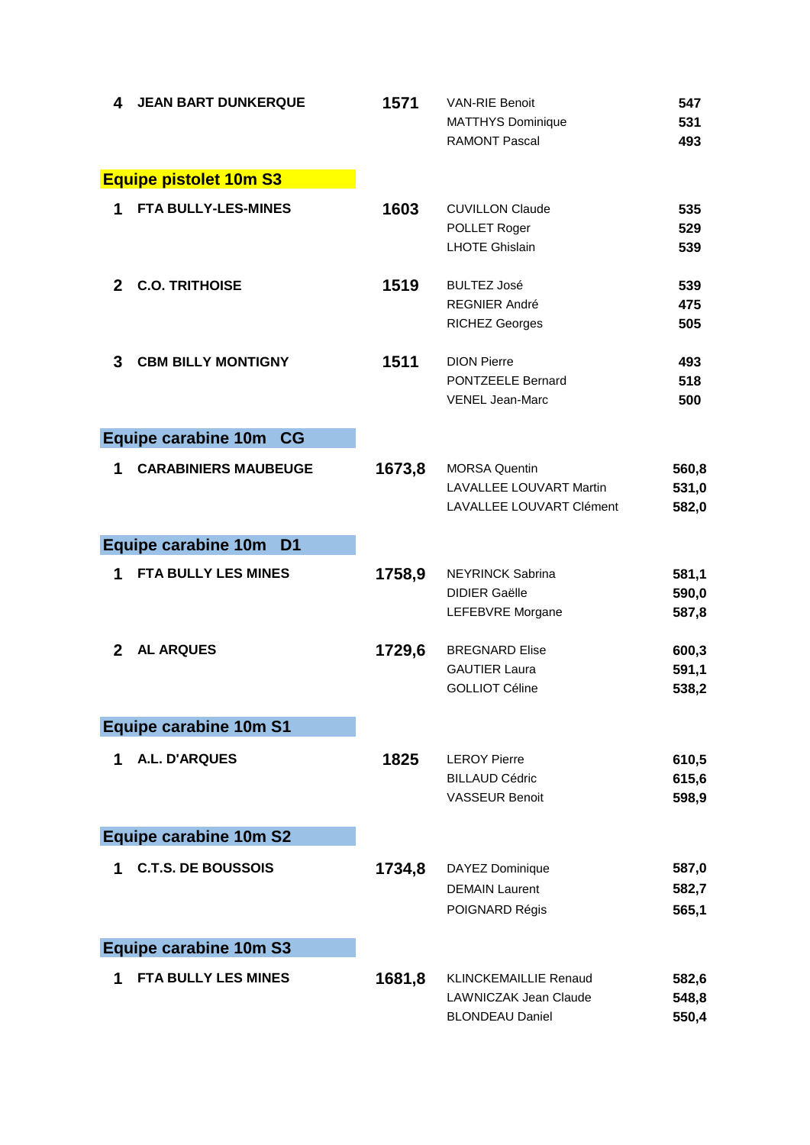| 4            | <b>JEAN BART DUNKERQUE</b>            | 1571   | <b>VAN-RIE Benoit</b><br><b>MATTHYS Dominique</b><br><b>RAMONT Pascal</b>              | 547<br>531<br>493       |
|--------------|---------------------------------------|--------|----------------------------------------------------------------------------------------|-------------------------|
|              | <b>Equipe pistolet 10m S3</b>         |        |                                                                                        |                         |
| 1            | <b>FTA BULLY-LES-MINES</b>            | 1603   | <b>CUVILLON Claude</b><br>POLLET Roger<br><b>LHOTE Ghislain</b>                        | 535<br>529<br>539       |
| $\mathbf{2}$ | <b>C.O. TRITHOISE</b>                 | 1519   | <b>BULTEZ José</b><br><b>REGNIER André</b><br><b>RICHEZ Georges</b>                    | 539<br>475<br>505       |
| 3            | <b>CBM BILLY MONTIGNY</b>             | 1511   | <b>DION Pierre</b><br><b>PONTZEELE Bernard</b><br><b>VENEL Jean-Marc</b>               | 493<br>518<br>500       |
|              | Equipe carabine 10m CG                |        |                                                                                        |                         |
| 1            | <b>CARABINIERS MAUBEUGE</b>           | 1673,8 | <b>MORSA Quentin</b><br><b>LAVALLEE LOUVART Martin</b><br>LAVALLEE LOUVART Clément     | 560,8<br>531,0<br>582,0 |
|              | Equipe carabine 10m<br>D <sub>1</sub> |        |                                                                                        |                         |
| 1            | FTA BULLY LES MINES                   | 1758,9 | <b>NEYRINCK Sabrina</b><br><b>DIDIER Gaëlle</b><br>LEFEBVRE Morgane                    | 581,1<br>590,0<br>587,8 |
| $\mathbf{2}$ | <b>AL ARQUES</b>                      | 1729,6 | <b>BREGNARD Elise</b><br><b>GAUTIER Laura</b><br><b>GOLLIOT Céline</b>                 | 600,3<br>591,1<br>538,2 |
|              | <b>Equipe carabine 10m S1</b>         |        |                                                                                        |                         |
| 1            | <b>A.L. D'ARQUES</b>                  | 1825   | <b>LEROY Pierre</b><br><b>BILLAUD Cédric</b><br><b>VASSEUR Benoit</b>                  | 610,5<br>615,6<br>598,9 |
|              | <b>Equipe carabine 10m S2</b>         |        |                                                                                        |                         |
| 1            | <b>C.T.S. DE BOUSSOIS</b>             | 1734,8 | DAYEZ Dominique<br><b>DEMAIN Laurent</b><br>POIGNARD Régis                             | 587,0<br>582,7<br>565,1 |
|              | <b>Equipe carabine 10m S3</b>         |        |                                                                                        |                         |
| 1            | <b>FTA BULLY LES MINES</b>            | 1681,8 | <b>KLINCKEMAILLIE Renaud</b><br><b>LAWNICZAK Jean Claude</b><br><b>BLONDEAU Daniel</b> | 582,6<br>548,8<br>550,4 |